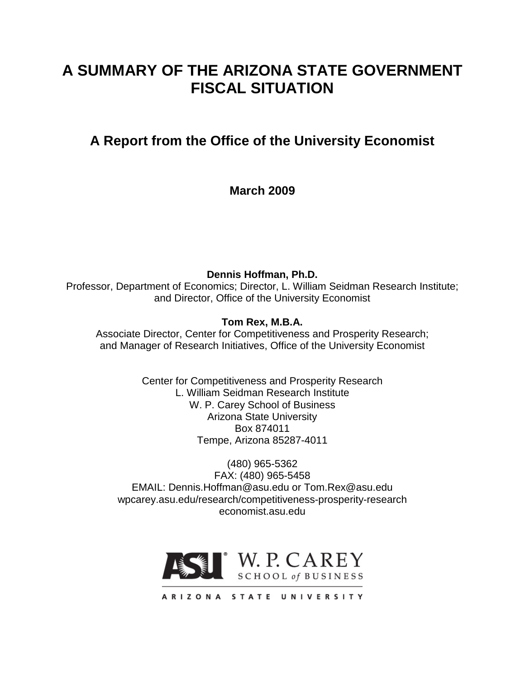# **A SUMMARY OF THE ARIZONA STATE GOVERNMENT FISCAL SITUATION**

# **A Report from the Office of the University Economist**

**March 2009**

**Dennis Hoffman, Ph.D.** Professor, Department of Economics; Director, L. William Seidman Research Institute; and Director, Office of the University Economist

**Tom Rex, M.B.A.**

Associate Director, Center for Competitiveness and Prosperity Research; and Manager of Research Initiatives, Office of the University Economist

> Center for Competitiveness and Prosperity Research L. William Seidman Research Institute W. P. Carey School of Business Arizona State University Box 874011 Tempe, Arizona 85287-4011

(480) 965-5362 FAX: (480) 965-5458 EMAIL: Dennis.Hoffman@asu.edu or Tom.Rex@asu.edu wpcarey.asu.edu/research/competitiveness-prosperity-research economist.asu.edu

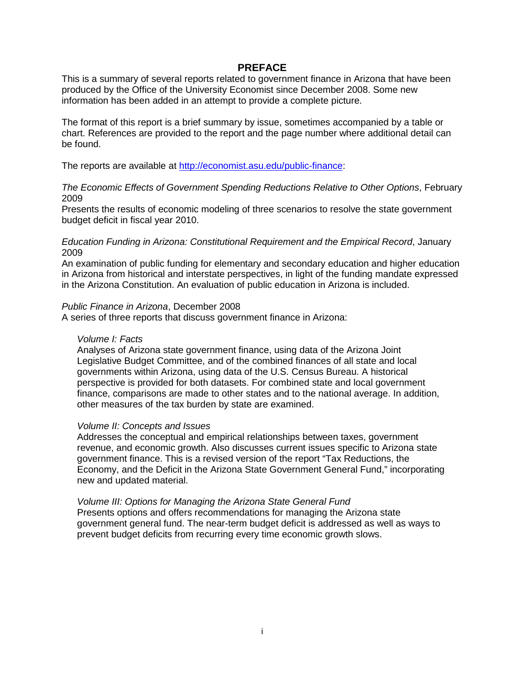#### **PREFACE**

This is a summary of several reports related to government finance in Arizona that have been produced by the Office of the University Economist since December 2008. Some new information has been added in an attempt to provide a complete picture.

The format of this report is a brief summary by issue, sometimes accompanied by a table or chart. References are provided to the report and the page number where additional detail can be found.

The reports are available at [http://economist.asu.edu/public-finance:](http://economist.asu.edu/public-finance)

#### *The Economic Effects of Government Spending Reductions Relative to Other Options*, February 2009

Presents the results of economic modeling of three scenarios to resolve the state government budget deficit in fiscal year 2010.

#### *Education Funding in Arizona: Constitutional Requirement and the Empirical Record*, January 2009

An examination of public funding for elementary and secondary education and higher education in Arizona from historical and interstate perspectives, in light of the funding mandate expressed in the Arizona Constitution. An evaluation of public education in Arizona is included.

#### *Public Finance in Arizona*, December 2008

A series of three reports that discuss government finance in Arizona:

#### *Volume I: Facts*

Analyses of Arizona state government finance, using data of the Arizona Joint Legislative Budget Committee, and of the combined finances of all state and local governments within Arizona, using data of the U.S. Census Bureau. A historical perspective is provided for both datasets. For combined state and local government finance, comparisons are made to other states and to the national average. In addition, other measures of the tax burden by state are examined.

#### *Volume II: Concepts and Issues*

Addresses the conceptual and empirical relationships between taxes, government revenue, and economic growth. Also discusses current issues specific to Arizona state government finance. This is a revised version of the report "Tax Reductions, the Economy, and the Deficit in the Arizona State Government General Fund," incorporating new and updated material.

*Volume III: Options for Managing the Arizona State General Fund* Presents options and offers recommendations for managing the Arizona state government general fund. The near-term budget deficit is addressed as well as ways to prevent budget deficits from recurring every time economic growth slows.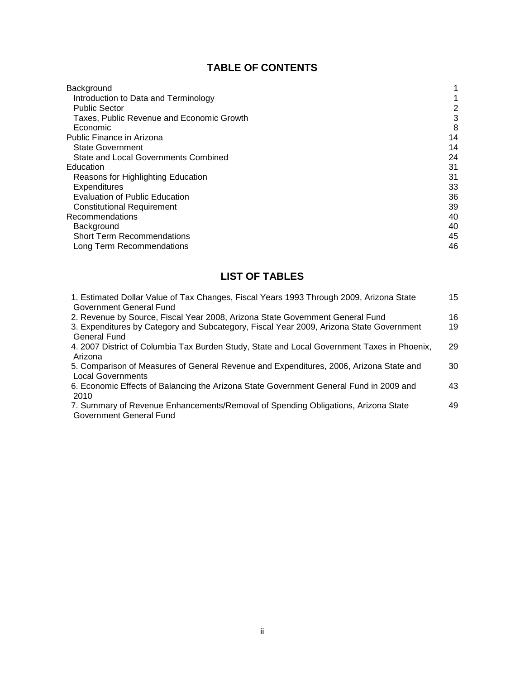# **TABLE OF CONTENTS**

| Background                                |    |
|-------------------------------------------|----|
| Introduction to Data and Terminology      |    |
| <b>Public Sector</b>                      | 2  |
| Taxes, Public Revenue and Economic Growth | 3  |
| Economic                                  | 8  |
| Public Finance in Arizona                 | 14 |
| <b>State Government</b>                   | 14 |
| State and Local Governments Combined      | 24 |
| Education                                 | 31 |
| Reasons for Highlighting Education        | 31 |
| Expenditures                              | 33 |
| <b>Evaluation of Public Education</b>     | 36 |
| <b>Constitutional Requirement</b>         | 39 |
| Recommendations                           | 40 |
| Background                                | 40 |
| <b>Short Term Recommendations</b>         | 45 |
| Long Term Recommendations                 | 46 |

# **LIST OF TABLES**

| 1. Estimated Dollar Value of Tax Changes, Fiscal Years 1993 Through 2009, Arizona State     | 15 |
|---------------------------------------------------------------------------------------------|----|
| Government General Fund                                                                     |    |
| 2. Revenue by Source, Fiscal Year 2008, Arizona State Government General Fund               | 16 |
| 3. Expenditures by Category and Subcategory, Fiscal Year 2009, Arizona State Government     | 19 |
| General Fund                                                                                |    |
| 4. 2007 District of Columbia Tax Burden Study, State and Local Government Taxes in Phoenix, | 29 |
| Arizona                                                                                     |    |
| 5. Comparison of Measures of General Revenue and Expenditures, 2006, Arizona State and      | 30 |
| <b>Local Governments</b>                                                                    |    |
| 6. Economic Effects of Balancing the Arizona State Government General Fund in 2009 and      | 43 |
| 2010                                                                                        |    |
| 7. Summary of Revenue Enhancements/Removal of Spending Obligations, Arizona State           | 49 |
| Government General Fund                                                                     |    |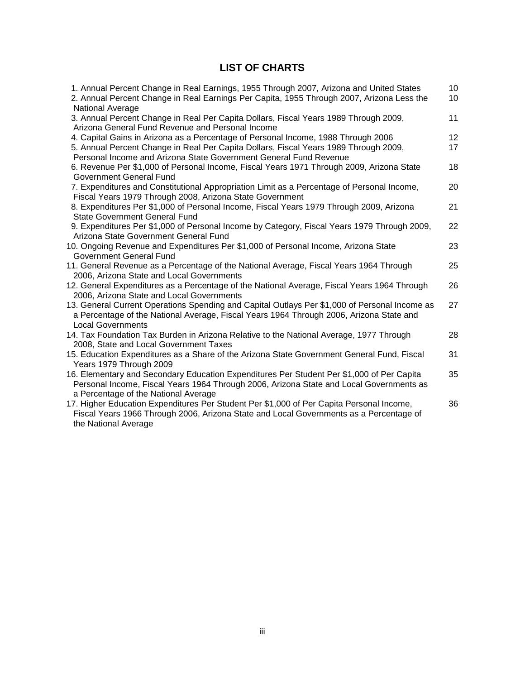# **LIST OF CHARTS**

| 1. Annual Percent Change in Real Earnings, 1955 Through 2007, Arizona and United States<br>2. Annual Percent Change in Real Earnings Per Capita, 1955 Through 2007, Arizona Less the<br>National Average                                       | 10 <sup>1</sup><br>10 |
|------------------------------------------------------------------------------------------------------------------------------------------------------------------------------------------------------------------------------------------------|-----------------------|
| 3. Annual Percent Change in Real Per Capita Dollars, Fiscal Years 1989 Through 2009,<br>Arizona General Fund Revenue and Personal Income                                                                                                       | 11                    |
| 4. Capital Gains in Arizona as a Percentage of Personal Income, 1988 Through 2006<br>5. Annual Percent Change in Real Per Capita Dollars, Fiscal Years 1989 Through 2009,<br>Personal Income and Arizona State Government General Fund Revenue | 12<br>17              |
| 6. Revenue Per \$1,000 of Personal Income, Fiscal Years 1971 Through 2009, Arizona State<br>Government General Fund                                                                                                                            | 18                    |
| 7. Expenditures and Constitutional Appropriation Limit as a Percentage of Personal Income,<br>Fiscal Years 1979 Through 2008, Arizona State Government                                                                                         | 20                    |
| 8. Expenditures Per \$1,000 of Personal Income, Fiscal Years 1979 Through 2009, Arizona<br><b>State Government General Fund</b>                                                                                                                | 21                    |
| 9. Expenditures Per \$1,000 of Personal Income by Category, Fiscal Years 1979 Through 2009,<br>Arizona State Government General Fund                                                                                                           | 22                    |
| 10. Ongoing Revenue and Expenditures Per \$1,000 of Personal Income, Arizona State<br>Government General Fund                                                                                                                                  | 23                    |
| 11. General Revenue as a Percentage of the National Average, Fiscal Years 1964 Through<br>2006, Arizona State and Local Governments                                                                                                            | 25                    |
| 12. General Expenditures as a Percentage of the National Average, Fiscal Years 1964 Through<br>2006, Arizona State and Local Governments                                                                                                       | 26                    |
| 13. General Current Operations Spending and Capital Outlays Per \$1,000 of Personal Income as<br>a Percentage of the National Average, Fiscal Years 1964 Through 2006, Arizona State and<br><b>Local Governments</b>                           | 27                    |
| 14. Tax Foundation Tax Burden in Arizona Relative to the National Average, 1977 Through<br>2008, State and Local Government Taxes                                                                                                              | 28                    |
| 15. Education Expenditures as a Share of the Arizona State Government General Fund, Fiscal<br>Years 1979 Through 2009                                                                                                                          | 31                    |
| 16. Elementary and Secondary Education Expenditures Per Student Per \$1,000 of Per Capita<br>Personal Income, Fiscal Years 1964 Through 2006, Arizona State and Local Governments as<br>a Percentage of the National Average                   | 35                    |
| 17. Higher Education Expenditures Per Student Per \$1,000 of Per Capita Personal Income,<br>Fiscal Years 1966 Through 2006, Arizona State and Local Governments as a Percentage of<br>the National Average                                     | 36                    |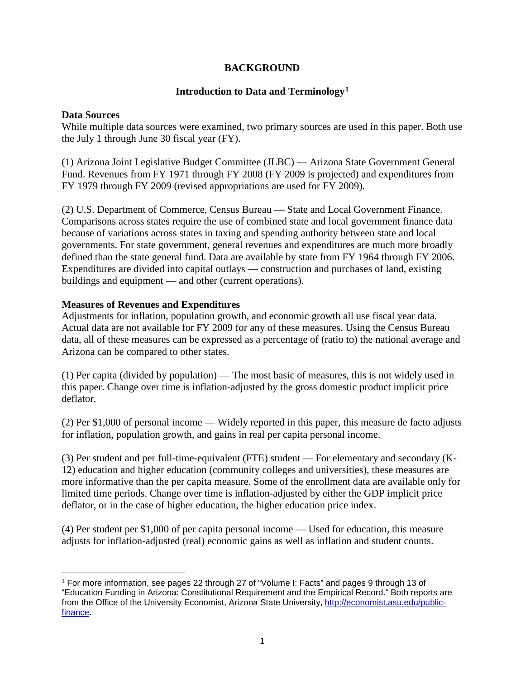# **BACKGROUND**

# **Introduction to Data and Terminology[1](#page-4-0)**

#### **Data Sources**

While multiple data sources were examined, two primary sources are used in this paper. Both use the July 1 through June 30 fiscal year (FY).

(1) Arizona Joint Legislative Budget Committee (JLBC) — Arizona State Government General Fund. Revenues from FY 1971 through FY 2008 (FY 2009 is projected) and expenditures from FY 1979 through FY 2009 (revised appropriations are used for FY 2009).

(2) U.S. Department of Commerce, Census Bureau — State and Local Government Finance. Comparisons across states require the use of combined state and local government finance data because of variations across states in taxing and spending authority between state and local governments. For state government, general revenues and expenditures are much more broadly defined than the state general fund. Data are available by state from FY 1964 through FY 2006. Expenditures are divided into capital outlays — construction and purchases of land, existing buildings and equipment — and other (current operations).

# **Measures of Revenues and Expenditures**

Adjustments for inflation, population growth, and economic growth all use fiscal year data. Actual data are not available for FY 2009 for any of these measures. Using the Census Bureau data, all of these measures can be expressed as a percentage of (ratio to) the national average and Arizona can be compared to other states.

(1) Per capita (divided by population) — The most basic of measures, this is not widely used in this paper. Change over time is inflation-adjusted by the gross domestic product implicit price deflator.

(2) Per \$1,000 of personal income — Widely reported in this paper, this measure de facto adjusts for inflation, population growth, and gains in real per capita personal income.

(3) Per student and per full-time-equivalent (FTE) student — For elementary and secondary (K-12) education and higher education (community colleges and universities), these measures are more informative than the per capita measure. Some of the enrollment data are available only for limited time periods. Change over time is inflation-adjusted by either the GDP implicit price deflator, or in the case of higher education, the higher education price index.

(4) Per student per \$1,000 of per capita personal income — Used for education, this measure adjusts for inflation-adjusted (real) economic gains as well as inflation and student counts.

<span id="page-4-0"></span><sup>1</sup> For more information, see pages 22 through 27 of "Volume I: Facts" and pages 9 through 13 of "Education Funding in Arizona: Constitutional Requirement and the Empirical Record." Both reports are from the Office of the University Economist, Arizona State University, [http://economist.asu.edu/public](http://economist.asu.edu/public-finance)[finance.](http://economist.asu.edu/public-finance)  $\overline{a}$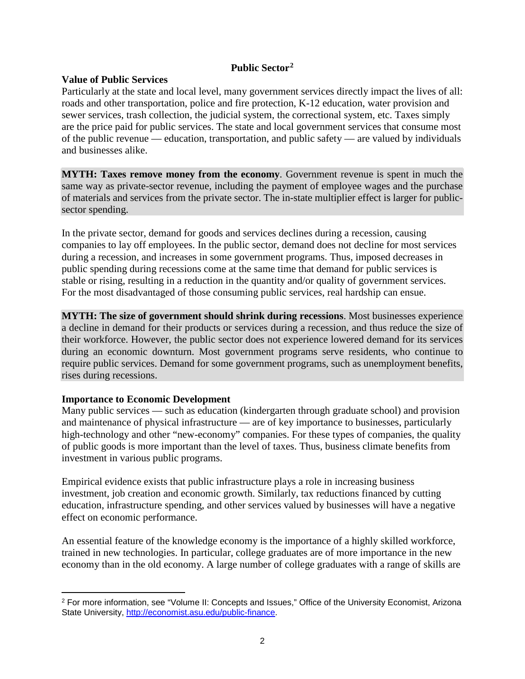# **Public Sector[2](#page-5-0)**

# **Value of Public Services**

Particularly at the state and local level, many government services directly impact the lives of all: roads and other transportation, police and fire protection, K-12 education, water provision and sewer services, trash collection, the judicial system, the correctional system, etc. Taxes simply are the price paid for public services. The state and local government services that consume most of the public revenue — education, transportation, and public safety — are valued by individuals and businesses alike.

**MYTH: Taxes remove money from the economy**. Government revenue is spent in much the same way as private-sector revenue, including the payment of employee wages and the purchase of materials and services from the private sector. The in-state multiplier effect is larger for publicsector spending.

In the private sector, demand for goods and services declines during a recession, causing companies to lay off employees. In the public sector, demand does not decline for most services during a recession, and increases in some government programs. Thus, imposed decreases in public spending during recessions come at the same time that demand for public services is stable or rising, resulting in a reduction in the quantity and/or quality of government services. For the most disadvantaged of those consuming public services, real hardship can ensue.

**MYTH: The size of government should shrink during recessions**. Most businesses experience a decline in demand for their products or services during a recession, and thus reduce the size of their workforce. However, the public sector does not experience lowered demand for its services during an economic downturn. Most government programs serve residents, who continue to require public services. Demand for some government programs, such as unemployment benefits, rises during recessions.

# **Importance to Economic Development**

Many public services — such as education (kindergarten through graduate school) and provision and maintenance of physical infrastructure — are of key importance to businesses, particularly high-technology and other "new-economy" companies. For these types of companies, the quality of public goods is more important than the level of taxes. Thus, business climate benefits from investment in various public programs.

Empirical evidence exists that public infrastructure plays a role in increasing business investment, job creation and economic growth. Similarly, tax reductions financed by cutting education, infrastructure spending, and other services valued by businesses will have a negative effect on economic performance.

An essential feature of the knowledge economy is the importance of a highly skilled workforce, trained in new technologies. In particular, college graduates are of more importance in the new economy than in the old economy. A large number of college graduates with a range of skills are

<span id="page-5-0"></span><sup>2</sup> For more information, see "Volume II: Concepts and Issues," Office of the University Economist, Arizona State University, [http://economist.asu.edu/public-finance.](http://economist.asu.edu/public-finance)  $\overline{a}$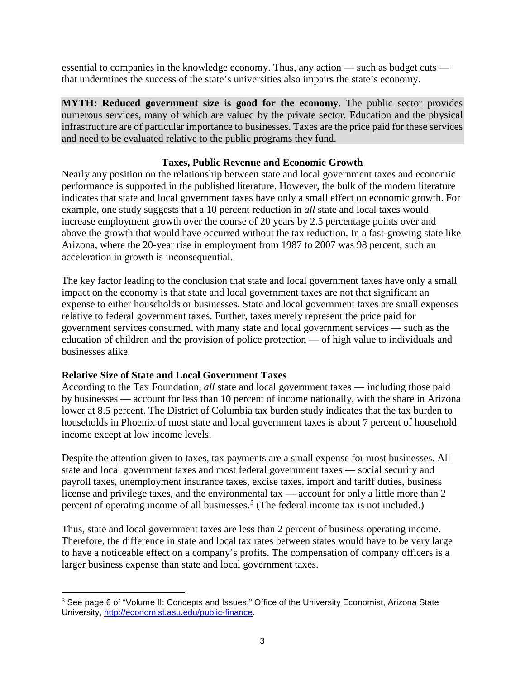essential to companies in the knowledge economy. Thus, any action — such as budget cuts that undermines the success of the state's universities also impairs the state's economy.

**MYTH: Reduced government size is good for the economy**. The public sector provides numerous services, many of which are valued by the private sector. Education and the physical infrastructure are of particular importance to businesses. Taxes are the price paid for these services and need to be evaluated relative to the public programs they fund.

# **Taxes, Public Revenue and Economic Growth**

Nearly any position on the relationship between state and local government taxes and economic performance is supported in the published literature. However, the bulk of the modern literature indicates that state and local government taxes have only a small effect on economic growth. For example, one study suggests that a 10 percent reduction in *all* state and local taxes would increase employment growth over the course of 20 years by 2.5 percentage points over and above the growth that would have occurred without the tax reduction. In a fast-growing state like Arizona, where the 20-year rise in employment from 1987 to 2007 was 98 percent, such an acceleration in growth is inconsequential.

The key factor leading to the conclusion that state and local government taxes have only a small impact on the economy is that state and local government taxes are not that significant an expense to either households or businesses. State and local government taxes are small expenses relative to federal government taxes. Further, taxes merely represent the price paid for government services consumed, with many state and local government services — such as the education of children and the provision of police protection — of high value to individuals and businesses alike.

# **Relative Size of State and Local Government Taxes**

 $\overline{a}$ 

According to the Tax Foundation, *all* state and local government taxes — including those paid by businesses — account for less than 10 percent of income nationally, with the share in Arizona lower at 8.5 percent. The District of Columbia tax burden study indicates that the tax burden to households in Phoenix of most state and local government taxes is about 7 percent of household income except at low income levels.

Despite the attention given to taxes, tax payments are a small expense for most businesses. All state and local government taxes and most federal government taxes — social security and payroll taxes, unemployment insurance taxes, excise taxes, import and tariff duties, business license and privilege taxes, and the environmental tax — account for only a little more than 2 percent of operating income of all businesses.<sup>[3](#page-6-0)</sup> (The federal income tax is not included.)

Thus, state and local government taxes are less than 2 percent of business operating income. Therefore, the difference in state and local tax rates between states would have to be very large to have a noticeable effect on a company's profits. The compensation of company officers is a larger business expense than state and local government taxes.

<span id="page-6-0"></span><sup>3</sup> See page 6 of "Volume II: Concepts and Issues," Office of the University Economist, Arizona State University, [http://economist.asu.edu/public-finance.](http://economist.asu.edu/public-finance)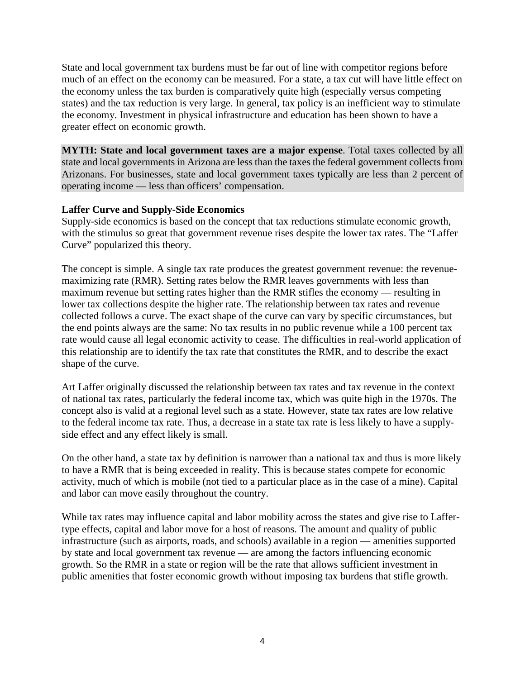State and local government tax burdens must be far out of line with competitor regions before much of an effect on the economy can be measured. For a state, a tax cut will have little effect on the economy unless the tax burden is comparatively quite high (especially versus competing states) and the tax reduction is very large. In general, tax policy is an inefficient way to stimulate the economy. Investment in physical infrastructure and education has been shown to have a greater effect on economic growth.

**MYTH: State and local government taxes are a major expense**. Total taxes collected by all state and local governments in Arizona are less than the taxes the federal government collects from Arizonans. For businesses, state and local government taxes typically are less than 2 percent of operating income — less than officers' compensation.

# **Laffer Curve and Supply-Side Economics**

Supply-side economics is based on the concept that tax reductions stimulate economic growth, with the stimulus so great that government revenue rises despite the lower tax rates. The "Laffer Curve" popularized this theory.

The concept is simple. A single tax rate produces the greatest government revenue: the revenuemaximizing rate (RMR). Setting rates below the RMR leaves governments with less than maximum revenue but setting rates higher than the RMR stifles the economy — resulting in lower tax collections despite the higher rate. The relationship between tax rates and revenue collected follows a curve. The exact shape of the curve can vary by specific circumstances, but the end points always are the same: No tax results in no public revenue while a 100 percent tax rate would cause all legal economic activity to cease. The difficulties in real-world application of this relationship are to identify the tax rate that constitutes the RMR, and to describe the exact shape of the curve.

Art Laffer originally discussed the relationship between tax rates and tax revenue in the context of national tax rates, particularly the federal income tax, which was quite high in the 1970s. The concept also is valid at a regional level such as a state. However, state tax rates are low relative to the federal income tax rate. Thus, a decrease in a state tax rate is less likely to have a supplyside effect and any effect likely is small.

On the other hand, a state tax by definition is narrower than a national tax and thus is more likely to have a RMR that is being exceeded in reality. This is because states compete for economic activity, much of which is mobile (not tied to a particular place as in the case of a mine). Capital and labor can move easily throughout the country.

While tax rates may influence capital and labor mobility across the states and give rise to Laffertype effects, capital and labor move for a host of reasons. The amount and quality of public infrastructure (such as airports, roads, and schools) available in a region — amenities supported by state and local government tax revenue — are among the factors influencing economic growth. So the RMR in a state or region will be the rate that allows sufficient investment in public amenities that foster economic growth without imposing tax burdens that stifle growth.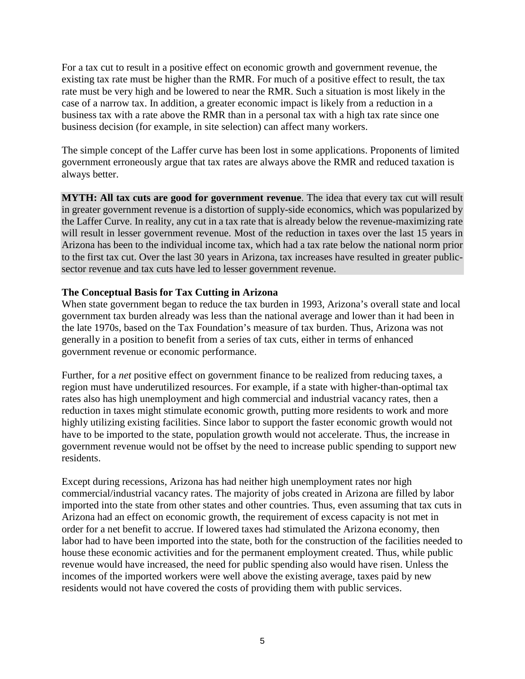For a tax cut to result in a positive effect on economic growth and government revenue, the existing tax rate must be higher than the RMR. For much of a positive effect to result, the tax rate must be very high and be lowered to near the RMR. Such a situation is most likely in the case of a narrow tax. In addition, a greater economic impact is likely from a reduction in a business tax with a rate above the RMR than in a personal tax with a high tax rate since one business decision (for example, in site selection) can affect many workers.

The simple concept of the Laffer curve has been lost in some applications. Proponents of limited government erroneously argue that tax rates are always above the RMR and reduced taxation is always better.

**MYTH: All tax cuts are good for government revenue**. The idea that every tax cut will result in greater government revenue is a distortion of supply-side economics, which was popularized by the Laffer Curve. In reality, any cut in a tax rate that is already below the revenue-maximizing rate will result in lesser government revenue. Most of the reduction in taxes over the last 15 years in Arizona has been to the individual income tax, which had a tax rate below the national norm prior to the first tax cut. Over the last 30 years in Arizona, tax increases have resulted in greater publicsector revenue and tax cuts have led to lesser government revenue.

# **The Conceptual Basis for Tax Cutting in Arizona**

When state government began to reduce the tax burden in 1993, Arizona's overall state and local government tax burden already was less than the national average and lower than it had been in the late 1970s, based on the Tax Foundation's measure of tax burden. Thus, Arizona was not generally in a position to benefit from a series of tax cuts, either in terms of enhanced government revenue or economic performance.

Further, for a *net* positive effect on government finance to be realized from reducing taxes, a region must have underutilized resources. For example, if a state with higher-than-optimal tax rates also has high unemployment and high commercial and industrial vacancy rates, then a reduction in taxes might stimulate economic growth, putting more residents to work and more highly utilizing existing facilities. Since labor to support the faster economic growth would not have to be imported to the state, population growth would not accelerate. Thus, the increase in government revenue would not be offset by the need to increase public spending to support new residents.

Except during recessions, Arizona has had neither high unemployment rates nor high commercial/industrial vacancy rates. The majority of jobs created in Arizona are filled by labor imported into the state from other states and other countries. Thus, even assuming that tax cuts in Arizona had an effect on economic growth, the requirement of excess capacity is not met in order for a net benefit to accrue. If lowered taxes had stimulated the Arizona economy, then labor had to have been imported into the state, both for the construction of the facilities needed to house these economic activities and for the permanent employment created. Thus, while public revenue would have increased, the need for public spending also would have risen. Unless the incomes of the imported workers were well above the existing average, taxes paid by new residents would not have covered the costs of providing them with public services.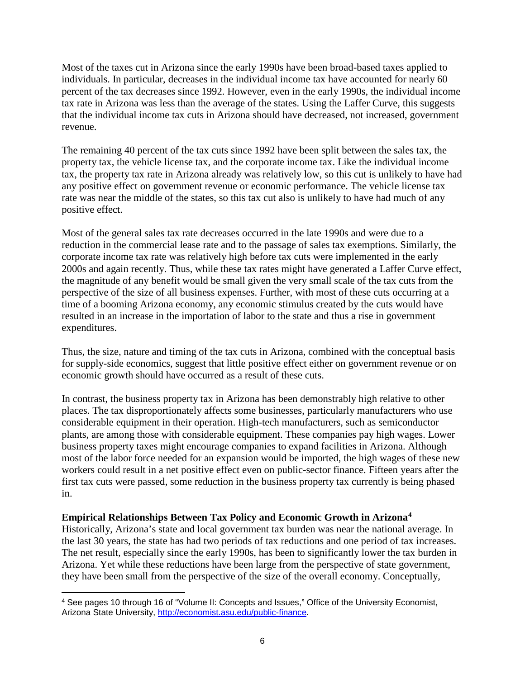Most of the taxes cut in Arizona since the early 1990s have been broad-based taxes applied to individuals. In particular, decreases in the individual income tax have accounted for nearly 60 percent of the tax decreases since 1992. However, even in the early 1990s, the individual income tax rate in Arizona was less than the average of the states. Using the Laffer Curve, this suggests that the individual income tax cuts in Arizona should have decreased, not increased, government revenue.

The remaining 40 percent of the tax cuts since 1992 have been split between the sales tax, the property tax, the vehicle license tax, and the corporate income tax. Like the individual income tax, the property tax rate in Arizona already was relatively low, so this cut is unlikely to have had any positive effect on government revenue or economic performance. The vehicle license tax rate was near the middle of the states, so this tax cut also is unlikely to have had much of any positive effect.

Most of the general sales tax rate decreases occurred in the late 1990s and were due to a reduction in the commercial lease rate and to the passage of sales tax exemptions. Similarly, the corporate income tax rate was relatively high before tax cuts were implemented in the early 2000s and again recently. Thus, while these tax rates might have generated a Laffer Curve effect, the magnitude of any benefit would be small given the very small scale of the tax cuts from the perspective of the size of all business expenses. Further, with most of these cuts occurring at a time of a booming Arizona economy, any economic stimulus created by the cuts would have resulted in an increase in the importation of labor to the state and thus a rise in government expenditures.

Thus, the size, nature and timing of the tax cuts in Arizona, combined with the conceptual basis for supply-side economics, suggest that little positive effect either on government revenue or on economic growth should have occurred as a result of these cuts.

In contrast, the business property tax in Arizona has been demonstrably high relative to other places. The tax disproportionately affects some businesses, particularly manufacturers who use considerable equipment in their operation. High-tech manufacturers, such as semiconductor plants, are among those with considerable equipment. These companies pay high wages. Lower business property taxes might encourage companies to expand facilities in Arizona. Although most of the labor force needed for an expansion would be imported, the high wages of these new workers could result in a net positive effect even on public-sector finance. Fifteen years after the first tax cuts were passed, some reduction in the business property tax currently is being phased in.

# **Empirical Relationships Between Tax Policy and Economic Growth in Arizona[4](#page-9-0)**

Historically, Arizona's state and local government tax burden was near the national average. In the last 30 years, the state has had two periods of tax reductions and one period of tax increases. The net result, especially since the early 1990s, has been to significantly lower the tax burden in Arizona. Yet while these reductions have been large from the perspective of state government, they have been small from the perspective of the size of the overall economy. Conceptually,

<span id="page-9-0"></span><sup>4</sup> See pages 10 through 16 of "Volume II: Concepts and Issues," Office of the University Economist, Arizona State University, [http://economist.asu.edu/public-finance.](http://economist.asu.edu/public-finance)  $\overline{a}$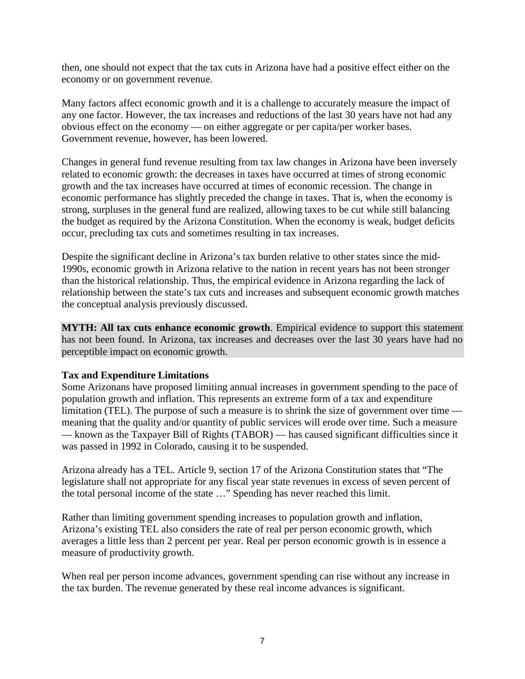then, one should not expect that the tax cuts in Arizona have had a positive effect either on the economy or on government revenue.

Many factors affect economic growth and it is a challenge to accurately measure the impact of any one factor. However, the tax increases and reductions of the last 30 years have not had any obvious effect on the economy — on either aggregate or per capita/per worker bases. Government revenue, however, has been lowered.

Changes in general fund revenue resulting from tax law changes in Arizona have been inversely related to economic growth: the decreases in taxes have occurred at times of strong economic growth and the tax increases have occurred at times of economic recession. The change in economic performance has slightly preceded the change in taxes. That is, when the economy is strong, surpluses in the general fund are realized, allowing taxes to be cut while still balancing the budget as required by the Arizona Constitution. When the economy is weak, budget deficits occur, precluding tax cuts and sometimes resulting in tax increases.

Despite the significant decline in Arizona's tax burden relative to other states since the mid-1990s, economic growth in Arizona relative to the nation in recent years has not been stronger than the historical relationship. Thus, the empirical evidence in Arizona regarding the lack of relationship between the state's tax cuts and increases and subsequent economic growth matches the conceptual analysis previously discussed.

**MYTH: All tax cuts enhance economic growth**. Empirical evidence to support this statement has not been found. In Arizona, tax increases and decreases over the last 30 years have had no perceptible impact on economic growth.

# **Tax and Expenditure Limitations**

Some Arizonans have proposed limiting annual increases in government spending to the pace of population growth and inflation. This represents an extreme form of a tax and expenditure limitation (TEL). The purpose of such a measure is to shrink the size of government over time meaning that the quality and/or quantity of public services will erode over time. Such a measure — known as the Taxpayer Bill of Rights (TABOR) — has caused significant difficulties since it was passed in 1992 in Colorado, causing it to be suspended.

Arizona already has a TEL. Article 9, section 17 of the Arizona Constitution states that "The legislature shall not appropriate for any fiscal year state revenues in excess of seven percent of the total personal income of the state …" Spending has never reached this limit.

Rather than limiting government spending increases to population growth and inflation, Arizona's existing TEL also considers the rate of real per person economic growth, which averages a little less than 2 percent per year. Real per person economic growth is in essence a measure of productivity growth.

When real per person income advances, government spending can rise without any increase in the tax burden. The revenue generated by these real income advances is significant.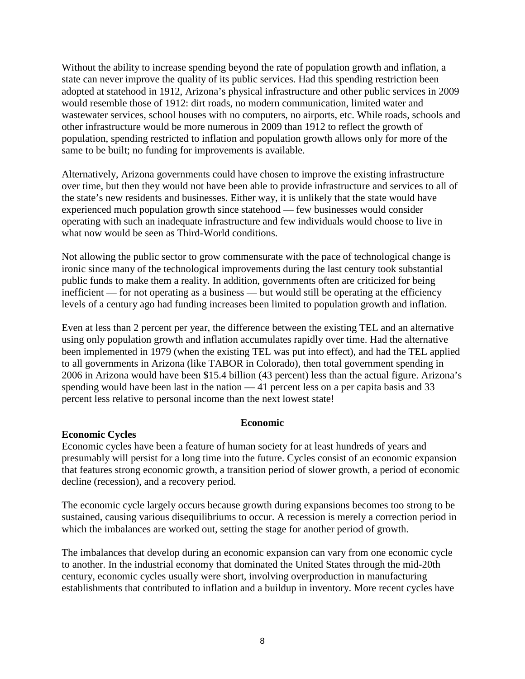Without the ability to increase spending beyond the rate of population growth and inflation, a state can never improve the quality of its public services. Had this spending restriction been adopted at statehood in 1912, Arizona's physical infrastructure and other public services in 2009 would resemble those of 1912: dirt roads, no modern communication, limited water and wastewater services, school houses with no computers, no airports, etc. While roads, schools and other infrastructure would be more numerous in 2009 than 1912 to reflect the growth of population, spending restricted to inflation and population growth allows only for more of the same to be built; no funding for improvements is available.

Alternatively, Arizona governments could have chosen to improve the existing infrastructure over time, but then they would not have been able to provide infrastructure and services to all of the state's new residents and businesses. Either way, it is unlikely that the state would have experienced much population growth since statehood — few businesses would consider operating with such an inadequate infrastructure and few individuals would choose to live in what now would be seen as Third-World conditions.

Not allowing the public sector to grow commensurate with the pace of technological change is ironic since many of the technological improvements during the last century took substantial public funds to make them a reality. In addition, governments often are criticized for being inefficient — for not operating as a business — but would still be operating at the efficiency levels of a century ago had funding increases been limited to population growth and inflation.

Even at less than 2 percent per year, the difference between the existing TEL and an alternative using only population growth and inflation accumulates rapidly over time. Had the alternative been implemented in 1979 (when the existing TEL was put into effect), and had the TEL applied to all governments in Arizona (like TABOR in Colorado), then total government spending in 2006 in Arizona would have been \$15.4 billion (43 percent) less than the actual figure. Arizona's spending would have been last in the nation — 41 percent less on a per capita basis and 33 percent less relative to personal income than the next lowest state!

# **Economic**

# **Economic Cycles**

Economic cycles have been a feature of human society for at least hundreds of years and presumably will persist for a long time into the future. Cycles consist of an economic expansion that features strong economic growth, a transition period of slower growth, a period of economic decline (recession), and a recovery period.

The economic cycle largely occurs because growth during expansions becomes too strong to be sustained, causing various disequilibriums to occur. A recession is merely a correction period in which the imbalances are worked out, setting the stage for another period of growth.

The imbalances that develop during an economic expansion can vary from one economic cycle to another. In the industrial economy that dominated the United States through the mid-20th century, economic cycles usually were short, involving overproduction in manufacturing establishments that contributed to inflation and a buildup in inventory. More recent cycles have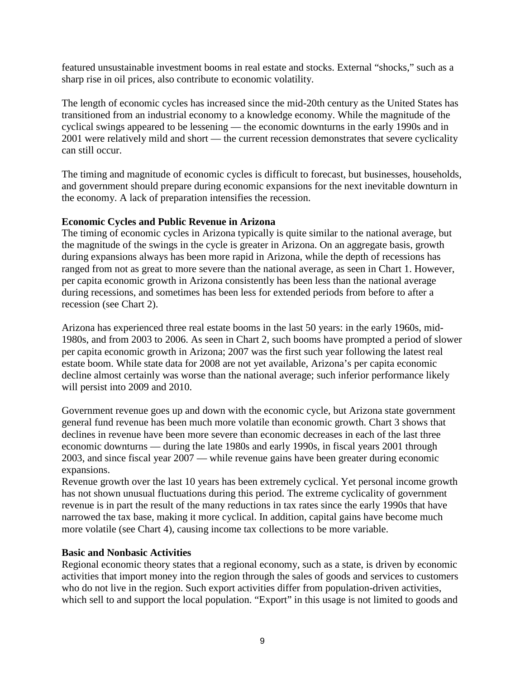featured unsustainable investment booms in real estate and stocks. External "shocks," such as a sharp rise in oil prices, also contribute to economic volatility.

The length of economic cycles has increased since the mid-20th century as the United States has transitioned from an industrial economy to a knowledge economy. While the magnitude of the cyclical swings appeared to be lessening — the economic downturns in the early 1990s and in 2001 were relatively mild and short — the current recession demonstrates that severe cyclicality can still occur.

The timing and magnitude of economic cycles is difficult to forecast, but businesses, households, and government should prepare during economic expansions for the next inevitable downturn in the economy. A lack of preparation intensifies the recession.

# **Economic Cycles and Public Revenue in Arizona**

The timing of economic cycles in Arizona typically is quite similar to the national average, but the magnitude of the swings in the cycle is greater in Arizona. On an aggregate basis, growth during expansions always has been more rapid in Arizona, while the depth of recessions has ranged from not as great to more severe than the national average, as seen in Chart 1. However, per capita economic growth in Arizona consistently has been less than the national average during recessions, and sometimes has been less for extended periods from before to after a recession (see Chart 2).

Arizona has experienced three real estate booms in the last 50 years: in the early 1960s, mid-1980s, and from 2003 to 2006. As seen in Chart 2, such booms have prompted a period of slower per capita economic growth in Arizona; 2007 was the first such year following the latest real estate boom. While state data for 2008 are not yet available, Arizona's per capita economic decline almost certainly was worse than the national average; such inferior performance likely will persist into 2009 and 2010.

Government revenue goes up and down with the economic cycle, but Arizona state government general fund revenue has been much more volatile than economic growth. Chart 3 shows that declines in revenue have been more severe than economic decreases in each of the last three economic downturns — during the late 1980s and early 1990s, in fiscal years 2001 through 2003, and since fiscal year 2007 — while revenue gains have been greater during economic expansions.

Revenue growth over the last 10 years has been extremely cyclical. Yet personal income growth has not shown unusual fluctuations during this period. The extreme cyclicality of government revenue is in part the result of the many reductions in tax rates since the early 1990s that have narrowed the tax base, making it more cyclical. In addition, capital gains have become much more volatile (see Chart 4), causing income tax collections to be more variable.

# **Basic and Nonbasic Activities**

Regional economic theory states that a regional economy, such as a state, is driven by economic activities that import money into the region through the sales of goods and services to customers who do not live in the region. Such export activities differ from population-driven activities, which sell to and support the local population. "Export" in this usage is not limited to goods and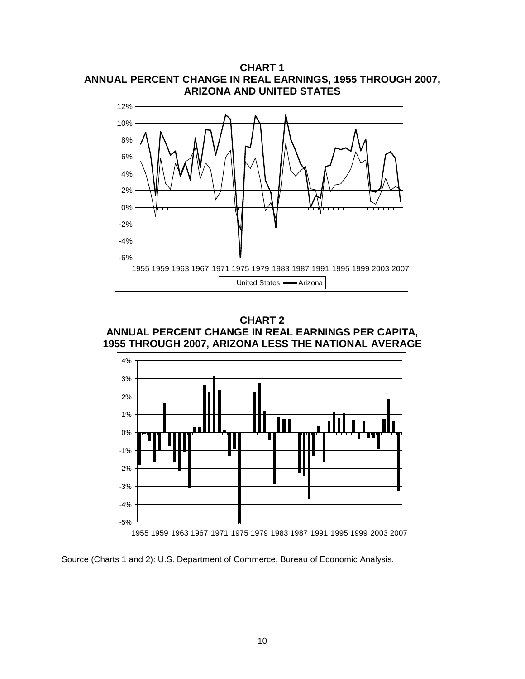**CHART 1 ANNUAL PERCENT CHANGE IN REAL EARNINGS, 1955 THROUGH 2007, ARIZONA AND UNITED STATES**



**CHART 2 ANNUAL PERCENT CHANGE IN REAL EARNINGS PER CAPITA, 1955 THROUGH 2007, ARIZONA LESS THE NATIONAL AVERAGE**



Source (Charts 1 and 2): U.S. Department of Commerce, Bureau of Economic Analysis.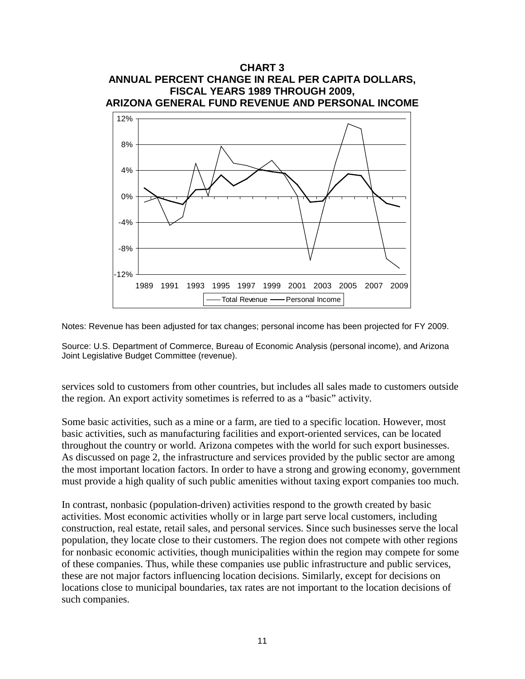

Notes: Revenue has been adjusted for tax changes; personal income has been projected for FY 2009.

Source: U.S. Department of Commerce, Bureau of Economic Analysis (personal income), and Arizona Joint Legislative Budget Committee (revenue).

services sold to customers from other countries, but includes all sales made to customers outside the region. An export activity sometimes is referred to as a "basic" activity.

Some basic activities, such as a mine or a farm, are tied to a specific location. However, most basic activities, such as manufacturing facilities and export-oriented services, can be located throughout the country or world. Arizona competes with the world for such export businesses. As discussed on page 2, the infrastructure and services provided by the public sector are among the most important location factors. In order to have a strong and growing economy, government must provide a high quality of such public amenities without taxing export companies too much.

In contrast, nonbasic (population-driven) activities respond to the growth created by basic activities. Most economic activities wholly or in large part serve local customers, including construction, real estate, retail sales, and personal services. Since such businesses serve the local population, they locate close to their customers. The region does not compete with other regions for nonbasic economic activities, though municipalities within the region may compete for some of these companies. Thus, while these companies use public infrastructure and public services, these are not major factors influencing location decisions. Similarly, except for decisions on locations close to municipal boundaries, tax rates are not important to the location decisions of such companies.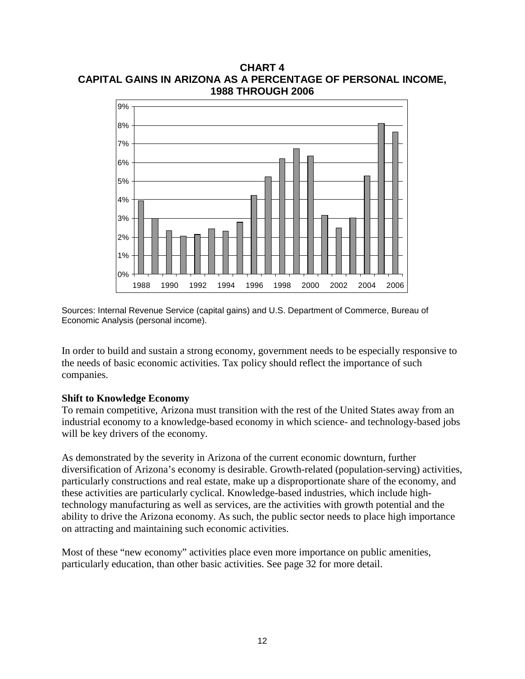**CHART 4 CAPITAL GAINS IN ARIZONA AS A PERCENTAGE OF PERSONAL INCOME, 1988 THROUGH 2006**



Sources: Internal Revenue Service (capital gains) and U.S. Department of Commerce, Bureau of Economic Analysis (personal income).

In order to build and sustain a strong economy, government needs to be especially responsive to the needs of basic economic activities. Tax policy should reflect the importance of such companies.

# **Shift to Knowledge Economy**

To remain competitive, Arizona must transition with the rest of the United States away from an industrial economy to a knowledge-based economy in which science- and technology-based jobs will be key drivers of the economy.

As demonstrated by the severity in Arizona of the current economic downturn, further diversification of Arizona's economy is desirable. Growth-related (population-serving) activities, particularly constructions and real estate, make up a disproportionate share of the economy, and these activities are particularly cyclical. Knowledge-based industries, which include hightechnology manufacturing as well as services, are the activities with growth potential and the ability to drive the Arizona economy. As such, the public sector needs to place high importance on attracting and maintaining such economic activities.

Most of these "new economy" activities place even more importance on public amenities, particularly education, than other basic activities. See page 32 for more detail.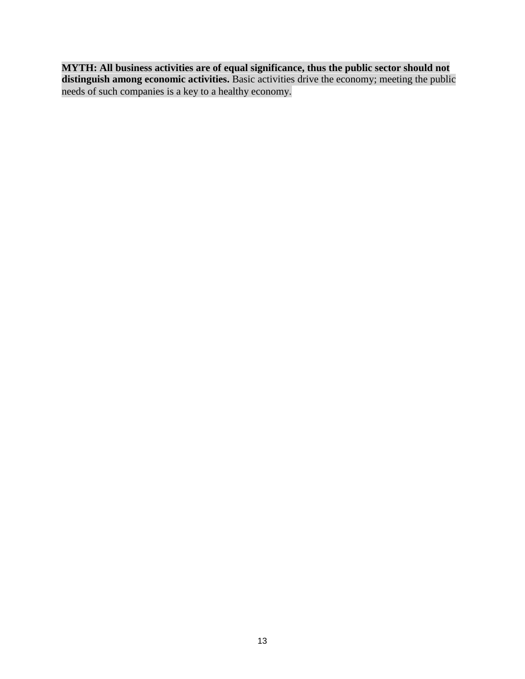**MYTH: All business activities are of equal significance, thus the public sector should not distinguish among economic activities.** Basic activities drive the economy; meeting the public needs of such companies is a key to a healthy economy.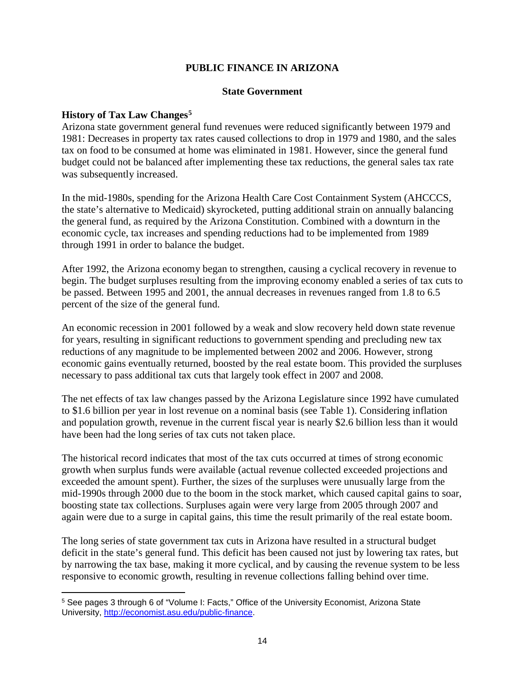# **PUBLIC FINANCE IN ARIZONA**

#### **State Government**

#### **History of Tax Law Changes[5](#page-17-0)**

 $\overline{a}$ 

Arizona state government general fund revenues were reduced significantly between 1979 and 1981: Decreases in property tax rates caused collections to drop in 1979 and 1980, and the sales tax on food to be consumed at home was eliminated in 1981. However, since the general fund budget could not be balanced after implementing these tax reductions, the general sales tax rate was subsequently increased.

In the mid-1980s, spending for the Arizona Health Care Cost Containment System (AHCCCS, the state's alternative to Medicaid) skyrocketed, putting additional strain on annually balancing the general fund, as required by the Arizona Constitution. Combined with a downturn in the economic cycle, tax increases and spending reductions had to be implemented from 1989 through 1991 in order to balance the budget.

After 1992, the Arizona economy began to strengthen, causing a cyclical recovery in revenue to begin. The budget surpluses resulting from the improving economy enabled a series of tax cuts to be passed. Between 1995 and 2001, the annual decreases in revenues ranged from 1.8 to 6.5 percent of the size of the general fund.

An economic recession in 2001 followed by a weak and slow recovery held down state revenue for years, resulting in significant reductions to government spending and precluding new tax reductions of any magnitude to be implemented between 2002 and 2006. However, strong economic gains eventually returned, boosted by the real estate boom. This provided the surpluses necessary to pass additional tax cuts that largely took effect in 2007 and 2008.

The net effects of tax law changes passed by the Arizona Legislature since 1992 have cumulated to \$1.6 billion per year in lost revenue on a nominal basis (see Table 1). Considering inflation and population growth, revenue in the current fiscal year is nearly \$2.6 billion less than it would have been had the long series of tax cuts not taken place.

The historical record indicates that most of the tax cuts occurred at times of strong economic growth when surplus funds were available (actual revenue collected exceeded projections and exceeded the amount spent). Further, the sizes of the surpluses were unusually large from the mid-1990s through 2000 due to the boom in the stock market, which caused capital gains to soar, boosting state tax collections. Surpluses again were very large from 2005 through 2007 and again were due to a surge in capital gains, this time the result primarily of the real estate boom.

The long series of state government tax cuts in Arizona have resulted in a structural budget deficit in the state's general fund. This deficit has been caused not just by lowering tax rates, but by narrowing the tax base, making it more cyclical, and by causing the revenue system to be less responsive to economic growth, resulting in revenue collections falling behind over time.

<span id="page-17-0"></span><sup>5</sup> See pages 3 through 6 of "Volume I: Facts," Office of the University Economist, Arizona State University, [http://economist.asu.edu/public-finance.](http://economist.asu.edu/public-finance)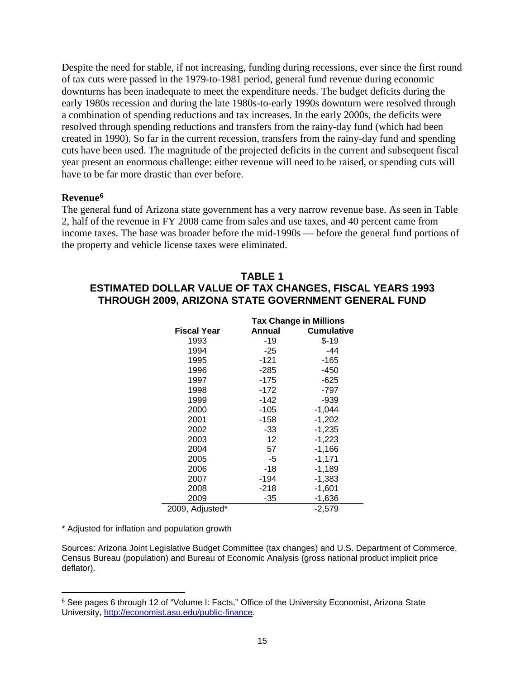Despite the need for stable, if not increasing, funding during recessions, ever since the first round of tax cuts were passed in the 1979-to-1981 period, general fund revenue during economic downturns has been inadequate to meet the expenditure needs. The budget deficits during the early 1980s recession and during the late 1980s-to-early 1990s downturn were resolved through a combination of spending reductions and tax increases. In the early 2000s, the deficits were resolved through spending reductions and transfers from the rainy-day fund (which had been created in 1990). So far in the current recession, transfers from the rainy-day fund and spending cuts have been used. The magnitude of the projected deficits in the current and subsequent fiscal year present an enormous challenge: either revenue will need to be raised, or spending cuts will have to be far more drastic than ever before.

#### **Revenue[6](#page-18-0)**

The general fund of Arizona state government has a very narrow revenue base. As seen in Table 2, half of the revenue in FY 2008 came from sales and use taxes, and 40 percent came from income taxes. The base was broader before the mid-1990s — before the general fund portions of the property and vehicle license taxes were eliminated.

# **TABLE 1 ESTIMATED DOLLAR VALUE OF TAX CHANGES, FISCAL YEARS 1993 THROUGH 2009, ARIZONA STATE GOVERNMENT GENERAL FUND**

|                 | <b>Tax Change in Millions</b> |                   |  |
|-----------------|-------------------------------|-------------------|--|
| Fiscal Year     | Annual                        | <b>Cumulative</b> |  |
| 1993            | -19                           | $$-19$            |  |
| 1994            | $-25$                         | -44               |  |
| 1995            | -121                          | -165              |  |
| 1996            | $-285$                        | -450              |  |
| 1997            | $-175$                        | -625              |  |
| 1998            | $-172$                        | -797              |  |
| 1999            | -142                          | -939              |  |
| 2000            | -105                          | $-1,044$          |  |
| 2001            | -158                          | $-1,202$          |  |
| 2002            | -33                           | $-1,235$          |  |
| 2003            | 12                            | $-1,223$          |  |
| 2004            | 57                            | $-1,166$          |  |
| 2005            | -5                            | $-1,171$          |  |
| 2006            | -18                           | -1,189            |  |
| 2007            | -194                          | -1.383            |  |
| 2008            | $-218$                        | $-1,601$          |  |
| 2009            | -35                           | $-1,636$          |  |
| 2009, Adjusted* |                               | -2.579            |  |

\* Adjusted for inflation and population growth

 $\overline{a}$ 

Sources: Arizona Joint Legislative Budget Committee (tax changes) and U.S. Department of Commerce, Census Bureau (population) and Bureau of Economic Analysis (gross national product implicit price deflator).

<span id="page-18-0"></span><sup>&</sup>lt;sup>6</sup> See pages 6 through 12 of "Volume I: Facts," Office of the University Economist, Arizona State University, [http://economist.asu.edu/public-finance.](http://economist.asu.edu/public-finance)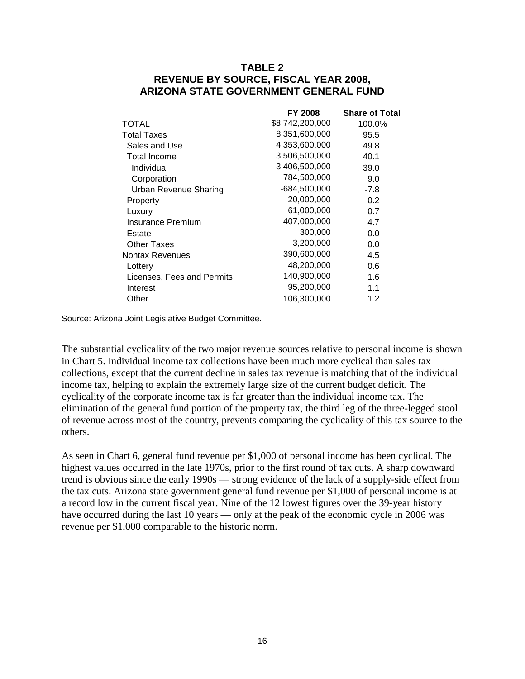# **TABLE 2 REVENUE BY SOURCE, FISCAL YEAR 2008, ARIZONA STATE GOVERNMENT GENERAL FUND**

|                            | <b>FY 2008</b>  | <b>Share of Total</b> |
|----------------------------|-----------------|-----------------------|
| TOTAL                      | \$8,742,200,000 | 100.0%                |
| <b>Total Taxes</b>         | 8,351,600,000   | 95.5                  |
| Sales and Use              | 4,353,600,000   | 49.8                  |
| Total Income               | 3,506,500,000   | 40.1                  |
| Individual                 | 3,406,500,000   | 39.0                  |
| Corporation                | 784,500,000     | 9.0                   |
| Urban Revenue Sharing      | -684,500,000    | $-7.8$                |
| Property                   | 20,000,000      | 0.2                   |
| Luxury                     | 61,000,000      | 0.7                   |
| Insurance Premium          | 407,000,000     | 4.7                   |
| Estate                     | 300,000         | 0.0                   |
| <b>Other Taxes</b>         | 3,200,000       | 0.0                   |
| Nontax Revenues            | 390,600,000     | 4.5                   |
| Lottery                    | 48,200,000      | 0.6                   |
| Licenses, Fees and Permits | 140,900,000     | 1.6                   |
| Interest                   | 95,200,000      | 1.1                   |
| Other                      | 106,300,000     | 1.2                   |

Source: Arizona Joint Legislative Budget Committee.

The substantial cyclicality of the two major revenue sources relative to personal income is shown in Chart 5. Individual income tax collections have been much more cyclical than sales tax collections, except that the current decline in sales tax revenue is matching that of the individual income tax, helping to explain the extremely large size of the current budget deficit. The cyclicality of the corporate income tax is far greater than the individual income tax. The elimination of the general fund portion of the property tax, the third leg of the three-legged stool of revenue across most of the country, prevents comparing the cyclicality of this tax source to the others.

As seen in Chart 6, general fund revenue per \$1,000 of personal income has been cyclical. The highest values occurred in the late 1970s, prior to the first round of tax cuts. A sharp downward trend is obvious since the early 1990s — strong evidence of the lack of a supply-side effect from the tax cuts. Arizona state government general fund revenue per \$1,000 of personal income is at a record low in the current fiscal year. Nine of the 12 lowest figures over the 39-year history have occurred during the last 10 years — only at the peak of the economic cycle in 2006 was revenue per \$1,000 comparable to the historic norm.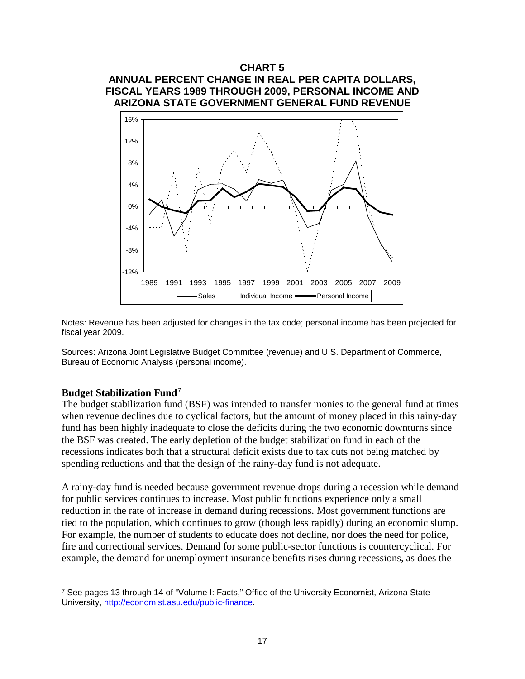

Notes: Revenue has been adjusted for changes in the tax code; personal income has been projected for fiscal year 2009.

Sources: Arizona Joint Legislative Budget Committee (revenue) and U.S. Department of Commerce, Bureau of Economic Analysis (personal income).

#### **Budget Stabilization Fund[7](#page-20-0)**

 $\overline{a}$ 

The budget stabilization fund (BSF) was intended to transfer monies to the general fund at times when revenue declines due to cyclical factors, but the amount of money placed in this rainy-day fund has been highly inadequate to close the deficits during the two economic downturns since the BSF was created. The early depletion of the budget stabilization fund in each of the recessions indicates both that a structural deficit exists due to tax cuts not being matched by spending reductions and that the design of the rainy-day fund is not adequate.

A rainy-day fund is needed because government revenue drops during a recession while demand for public services continues to increase. Most public functions experience only a small reduction in the rate of increase in demand during recessions. Most government functions are tied to the population, which continues to grow (though less rapidly) during an economic slump. For example, the number of students to educate does not decline, nor does the need for police, fire and correctional services. Demand for some public-sector functions is countercyclical. For example, the demand for unemployment insurance benefits rises during recessions, as does the

<span id="page-20-0"></span><sup>7</sup> See pages 13 through 14 of "Volume I: Facts," Office of the University Economist, Arizona State University, [http://economist.asu.edu/public-finance.](http://economist.asu.edu/public-finance)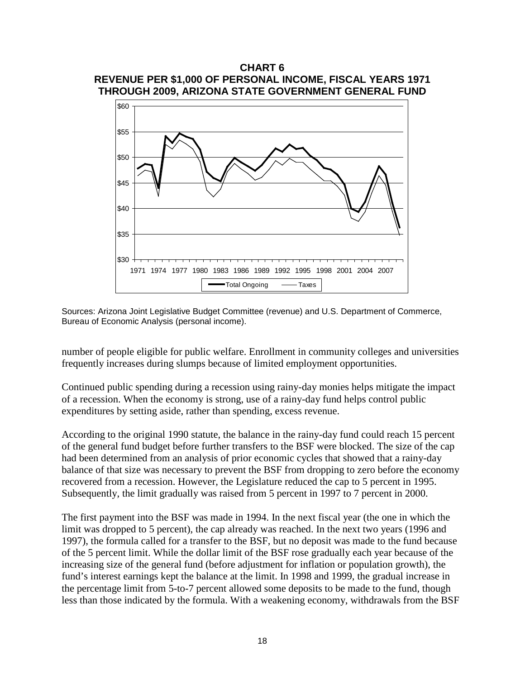# **CHART 6 REVENUE PER \$1,000 OF PERSONAL INCOME, FISCAL YEARS 1971 THROUGH 2009, ARIZONA STATE GOVERNMENT GENERAL FUND**



Sources: Arizona Joint Legislative Budget Committee (revenue) and U.S. Department of Commerce, Bureau of Economic Analysis (personal income).

number of people eligible for public welfare. Enrollment in community colleges and universities frequently increases during slumps because of limited employment opportunities.

Continued public spending during a recession using rainy-day monies helps mitigate the impact of a recession. When the economy is strong, use of a rainy-day fund helps control public expenditures by setting aside, rather than spending, excess revenue.

According to the original 1990 statute, the balance in the rainy-day fund could reach 15 percent of the general fund budget before further transfers to the BSF were blocked. The size of the cap had been determined from an analysis of prior economic cycles that showed that a rainy-day balance of that size was necessary to prevent the BSF from dropping to zero before the economy recovered from a recession. However, the Legislature reduced the cap to 5 percent in 1995. Subsequently, the limit gradually was raised from 5 percent in 1997 to 7 percent in 2000.

The first payment into the BSF was made in 1994. In the next fiscal year (the one in which the limit was dropped to 5 percent), the cap already was reached. In the next two years (1996 and 1997), the formula called for a transfer to the BSF, but no deposit was made to the fund because of the 5 percent limit. While the dollar limit of the BSF rose gradually each year because of the increasing size of the general fund (before adjustment for inflation or population growth), the fund's interest earnings kept the balance at the limit. In 1998 and 1999, the gradual increase in the percentage limit from 5-to-7 percent allowed some deposits to be made to the fund, though less than those indicated by the formula. With a weakening economy, withdrawals from the BSF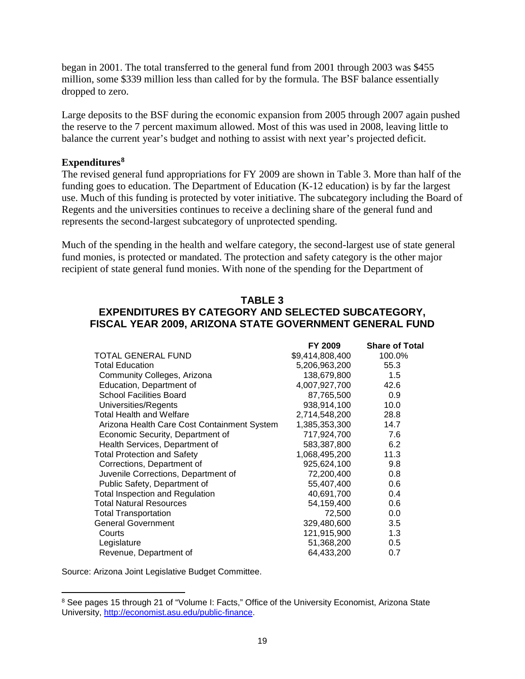began in 2001. The total transferred to the general fund from 2001 through 2003 was \$455 million, some \$339 million less than called for by the formula. The BSF balance essentially dropped to zero.

Large deposits to the BSF during the economic expansion from 2005 through 2007 again pushed the reserve to the 7 percent maximum allowed. Most of this was used in 2008, leaving little to balance the current year's budget and nothing to assist with next year's projected deficit.

# **Expenditures[8](#page-22-0)**

The revised general fund appropriations for FY 2009 are shown in Table 3. More than half of the funding goes to education. The Department of Education (K-12 education) is by far the largest use. Much of this funding is protected by voter initiative. The subcategory including the Board of Regents and the universities continues to receive a declining share of the general fund and represents the second-largest subcategory of unprotected spending.

Much of the spending in the health and welfare category, the second-largest use of state general fund monies, is protected or mandated. The protection and safety category is the other major recipient of state general fund monies. With none of the spending for the Department of

# **TABLE 3 EXPENDITURES BY CATEGORY AND SELECTED SUBCATEGORY, FISCAL YEAR 2009, ARIZONA STATE GOVERNMENT GENERAL FUND**

|                                             | FY 2009         | <b>Share of Total</b> |
|---------------------------------------------|-----------------|-----------------------|
| TOTAL GENERAL FUND                          | \$9,414,808,400 | 100.0%                |
| <b>Total Education</b>                      | 5,206,963,200   | 55.3                  |
| Community Colleges, Arizona                 | 138,679,800     | 1.5                   |
| Education, Department of                    | 4,007,927,700   | 42.6                  |
| <b>School Facilities Board</b>              | 87,765,500      | 0.9                   |
| Universities/Regents                        | 938,914,100     | 10.0                  |
| <b>Total Health and Welfare</b>             | 2,714,548,200   | 28.8                  |
| Arizona Health Care Cost Containment System | 1,385,353,300   | 14.7                  |
| Economic Security, Department of            | 717,924,700     | 7.6                   |
| Health Services, Department of              | 583,387,800     | 6.2                   |
| <b>Total Protection and Safety</b>          | 1,068,495,200   | 11.3                  |
| Corrections, Department of                  | 925,624,100     | 9.8                   |
| Juvenile Corrections, Department of         | 72,200,400      | 0.8                   |
| Public Safety, Department of                | 55,407,400      | 0.6                   |
| <b>Total Inspection and Regulation</b>      | 40,691,700      | 0.4                   |
| <b>Total Natural Resources</b>              | 54,159,400      | 0.6                   |
| <b>Total Transportation</b>                 | 72,500          | 0.0                   |
| <b>General Government</b>                   | 329,480,600     | 3.5                   |
| Courts                                      | 121,915,900     | 1.3                   |
| Legislature                                 | 51,368,200      | 0.5                   |
| Revenue, Department of                      | 64,433,200      | 0.7                   |

Source: Arizona Joint Legislative Budget Committee.

 $\overline{a}$ 

<span id="page-22-0"></span><sup>&</sup>lt;sup>8</sup> See pages 15 through 21 of "Volume I: Facts," Office of the University Economist, Arizona State University, [http://economist.asu.edu/public-finance.](http://economist.asu.edu/public-finance)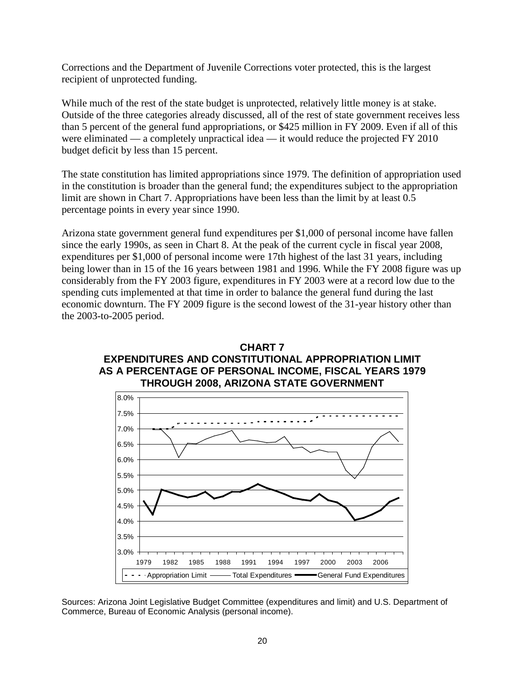Corrections and the Department of Juvenile Corrections voter protected, this is the largest recipient of unprotected funding.

While much of the rest of the state budget is unprotected, relatively little money is at stake. Outside of the three categories already discussed, all of the rest of state government receives less than 5 percent of the general fund appropriations, or \$425 million in FY 2009. Even if all of this were eliminated — a completely unpractical idea — it would reduce the projected FY 2010 budget deficit by less than 15 percent.

The state constitution has limited appropriations since 1979. The definition of appropriation used in the constitution is broader than the general fund; the expenditures subject to the appropriation limit are shown in Chart 7. Appropriations have been less than the limit by at least 0.5 percentage points in every year since 1990.

Arizona state government general fund expenditures per \$1,000 of personal income have fallen since the early 1990s, as seen in Chart 8. At the peak of the current cycle in fiscal year 2008, expenditures per \$1,000 of personal income were 17th highest of the last 31 years, including being lower than in 15 of the 16 years between 1981 and 1996. While the FY 2008 figure was up considerably from the FY 2003 figure, expenditures in FY 2003 were at a record low due to the spending cuts implemented at that time in order to balance the general fund during the last economic downturn. The FY 2009 figure is the second lowest of the 31-year history other than the 2003-to-2005 period.





Sources: Arizona Joint Legislative Budget Committee (expenditures and limit) and U.S. Department of Commerce, Bureau of Economic Analysis (personal income).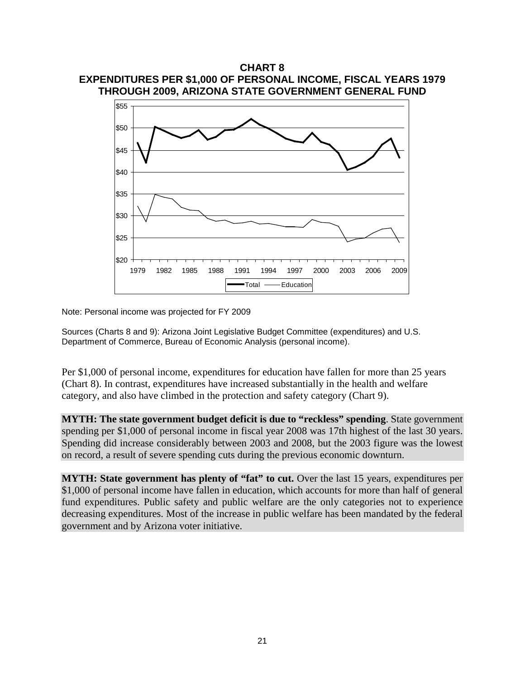

Note: Personal income was projected for FY 2009

Sources (Charts 8 and 9): Arizona Joint Legislative Budget Committee (expenditures) and U.S. Department of Commerce, Bureau of Economic Analysis (personal income).

Per \$1,000 of personal income, expenditures for education have fallen for more than 25 years (Chart 8). In contrast, expenditures have increased substantially in the health and welfare category, and also have climbed in the protection and safety category (Chart 9).

**MYTH: The state government budget deficit is due to "reckless" spending**. State government spending per \$1,000 of personal income in fiscal year 2008 was 17th highest of the last 30 years. Spending did increase considerably between 2003 and 2008, but the 2003 figure was the lowest on record, a result of severe spending cuts during the previous economic downturn.

**MYTH: State government has plenty of "fat" to cut.** Over the last 15 years, expenditures per \$1,000 of personal income have fallen in education, which accounts for more than half of general fund expenditures. Public safety and public welfare are the only categories not to experience decreasing expenditures. Most of the increase in public welfare has been mandated by the federal government and by Arizona voter initiative.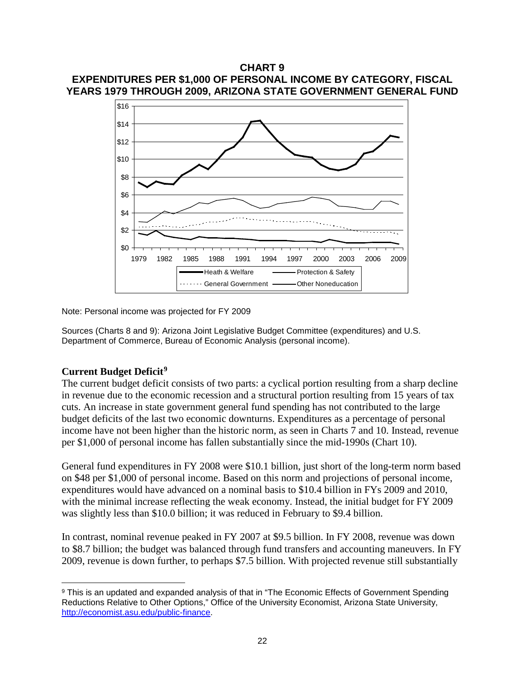# **CHART 9 EXPENDITURES PER \$1,000 OF PERSONAL INCOME BY CATEGORY, FISCAL YEARS 1979 THROUGH 2009, ARIZONA STATE GOVERNMENT GENERAL FUND**



Note: Personal income was projected for FY 2009

Sources (Charts 8 and 9): Arizona Joint Legislative Budget Committee (expenditures) and U.S. Department of Commerce, Bureau of Economic Analysis (personal income).

# **Current Budget Deficit[9](#page-25-0)**

The current budget deficit consists of two parts: a cyclical portion resulting from a sharp decline in revenue due to the economic recession and a structural portion resulting from 15 years of tax cuts. An increase in state government general fund spending has not contributed to the large budget deficits of the last two economic downturns. Expenditures as a percentage of personal income have not been higher than the historic norm, as seen in Charts 7 and 10. Instead, revenue per \$1,000 of personal income has fallen substantially since the mid-1990s (Chart 10).

General fund expenditures in FY 2008 were \$10.1 billion, just short of the long-term norm based on \$48 per \$1,000 of personal income. Based on this norm and projections of personal income, expenditures would have advanced on a nominal basis to \$10.4 billion in FYs 2009 and 2010, with the minimal increase reflecting the weak economy. Instead, the initial budget for FY 2009 was slightly less than \$10.0 billion; it was reduced in February to \$9.4 billion.

In contrast, nominal revenue peaked in FY 2007 at \$9.5 billion. In FY 2008, revenue was down to \$8.7 billion; the budget was balanced through fund transfers and accounting maneuvers. In FY 2009, revenue is down further, to perhaps \$7.5 billion. With projected revenue still substantially

<span id="page-25-0"></span><sup>&</sup>lt;sup>9</sup> This is an updated and expanded analysis of that in "The Economic Effects of Government Spending Reductions Relative to Other Options," Office of the University Economist, Arizona State University, [http://economist.asu.edu/public-finance.](http://economist.asu.edu/public-finance)  $\overline{a}$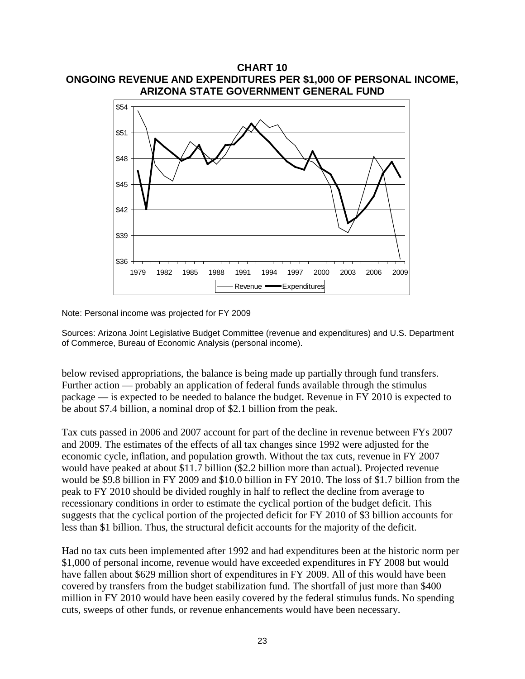

**CHART 10 ONGOING REVENUE AND EXPENDITURES PER \$1,000 OF PERSONAL INCOME,**

Note: Personal income was projected for FY 2009

Sources: Arizona Joint Legislative Budget Committee (revenue and expenditures) and U.S. Department of Commerce, Bureau of Economic Analysis (personal income).

below revised appropriations, the balance is being made up partially through fund transfers. Further action — probably an application of federal funds available through the stimulus package — is expected to be needed to balance the budget. Revenue in FY 2010 is expected to be about \$7.4 billion, a nominal drop of \$2.1 billion from the peak.

Tax cuts passed in 2006 and 2007 account for part of the decline in revenue between FYs 2007 and 2009. The estimates of the effects of all tax changes since 1992 were adjusted for the economic cycle, inflation, and population growth. Without the tax cuts, revenue in FY 2007 would have peaked at about \$11.7 billion (\$2.2 billion more than actual). Projected revenue would be \$9.8 billion in FY 2009 and \$10.0 billion in FY 2010. The loss of \$1.7 billion from the peak to FY 2010 should be divided roughly in half to reflect the decline from average to recessionary conditions in order to estimate the cyclical portion of the budget deficit. This suggests that the cyclical portion of the projected deficit for FY 2010 of \$3 billion accounts for less than \$1 billion. Thus, the structural deficit accounts for the majority of the deficit.

Had no tax cuts been implemented after 1992 and had expenditures been at the historic norm per \$1,000 of personal income, revenue would have exceeded expenditures in FY 2008 but would have fallen about \$629 million short of expenditures in FY 2009. All of this would have been covered by transfers from the budget stabilization fund. The shortfall of just more than \$400 million in FY 2010 would have been easily covered by the federal stimulus funds. No spending cuts, sweeps of other funds, or revenue enhancements would have been necessary.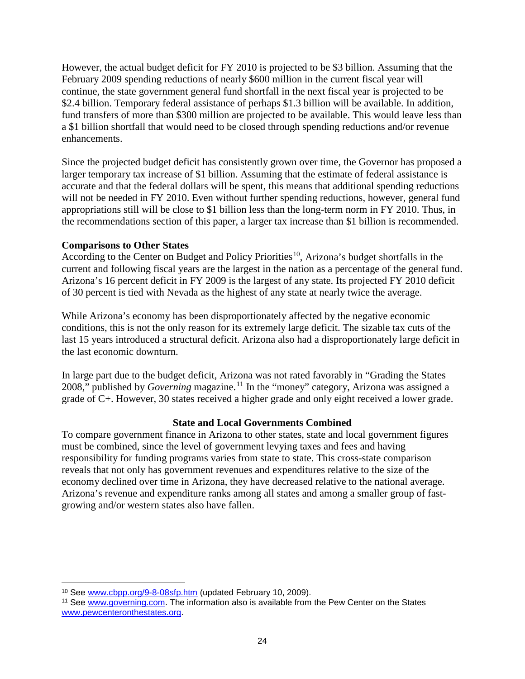However, the actual budget deficit for FY 2010 is projected to be \$3 billion. Assuming that the February 2009 spending reductions of nearly \$600 million in the current fiscal year will continue, the state government general fund shortfall in the next fiscal year is projected to be \$2.4 billion. Temporary federal assistance of perhaps \$1.3 billion will be available. In addition, fund transfers of more than \$300 million are projected to be available. This would leave less than a \$1 billion shortfall that would need to be closed through spending reductions and/or revenue enhancements.

Since the projected budget deficit has consistently grown over time, the Governor has proposed a larger temporary tax increase of \$1 billion. Assuming that the estimate of federal assistance is accurate and that the federal dollars will be spent, this means that additional spending reductions will not be needed in FY 2010. Even without further spending reductions, however, general fund appropriations still will be close to \$1 billion less than the long-term norm in FY 2010. Thus, in the recommendations section of this paper, a larger tax increase than \$1 billion is recommended.

# **Comparisons to Other States**

According to the Center on Budget and Policy Priorities<sup>[10](#page-27-0)</sup>, Arizona's budget shortfalls in the current and following fiscal years are the largest in the nation as a percentage of the general fund. Arizona's 16 percent deficit in FY 2009 is the largest of any state. Its projected FY 2010 deficit of 30 percent is tied with Nevada as the highest of any state at nearly twice the average.

While Arizona's economy has been disproportionately affected by the negative economic conditions, this is not the only reason for its extremely large deficit. The sizable tax cuts of the last 15 years introduced a structural deficit. Arizona also had a disproportionately large deficit in the last economic downturn.

In large part due to the budget deficit, Arizona was not rated favorably in "Grading the States 2008," published by *Governing* magazine.<sup>[11](#page-27-1)</sup> In the "money" category, Arizona was assigned a grade of C+. However, 30 states received a higher grade and only eight received a lower grade.

# **State and Local Governments Combined**

To compare government finance in Arizona to other states, state and local government figures must be combined, since the level of government levying taxes and fees and having responsibility for funding programs varies from state to state. This cross-state comparison reveals that not only has government revenues and expenditures relative to the size of the economy declined over time in Arizona, they have decreased relative to the national average. Arizona's revenue and expenditure ranks among all states and among a smaller group of fastgrowing and/or western states also have fallen.

<sup>10</sup> See www.cbpp.org/9-8-08sfp.htm (updated February 10, 2009).  $\overline{a}$ 

<span id="page-27-1"></span><span id="page-27-0"></span><sup>&</sup>lt;sup>11</sup> See [www.governing.com.](http://www.governing.com/) The information also is available from the Pew Center on the States www.pewcenteronthestates.org.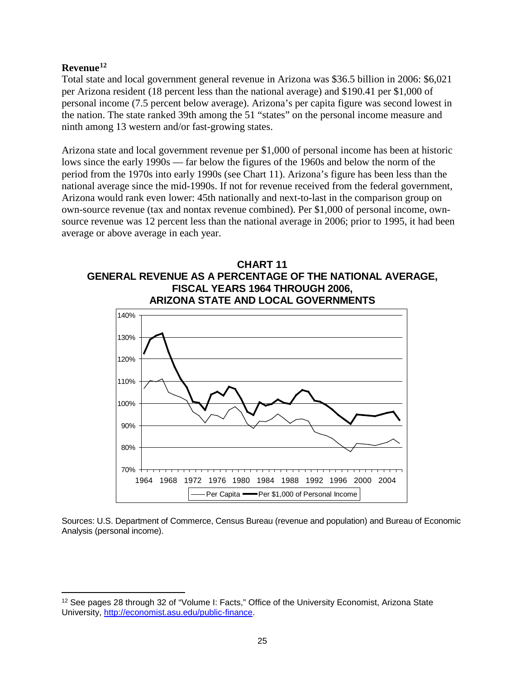# **Revenue[12](#page-28-0)**

 $\overline{a}$ 

Total state and local government general revenue in Arizona was \$36.5 billion in 2006: \$6,021 per Arizona resident (18 percent less than the national average) and \$190.41 per \$1,000 of personal income (7.5 percent below average). Arizona's per capita figure was second lowest in the nation. The state ranked 39th among the 51 "states" on the personal income measure and ninth among 13 western and/or fast-growing states.

Arizona state and local government revenue per \$1,000 of personal income has been at historic lows since the early 1990s — far below the figures of the 1960s and below the norm of the period from the 1970s into early 1990s (see Chart 11). Arizona's figure has been less than the national average since the mid-1990s. If not for revenue received from the federal government, Arizona would rank even lower: 45th nationally and next-to-last in the comparison group on own-source revenue (tax and nontax revenue combined). Per \$1,000 of personal income, ownsource revenue was 12 percent less than the national average in 2006; prior to 1995, it had been average or above average in each year.





Sources: U.S. Department of Commerce, Census Bureau (revenue and population) and Bureau of Economic Analysis (personal income).

<span id="page-28-0"></span><sup>&</sup>lt;sup>12</sup> See pages 28 through 32 of "Volume I: Facts," Office of the University Economist, Arizona State University, [http://economist.asu.edu/public-finance.](http://economist.asu.edu/public-finance)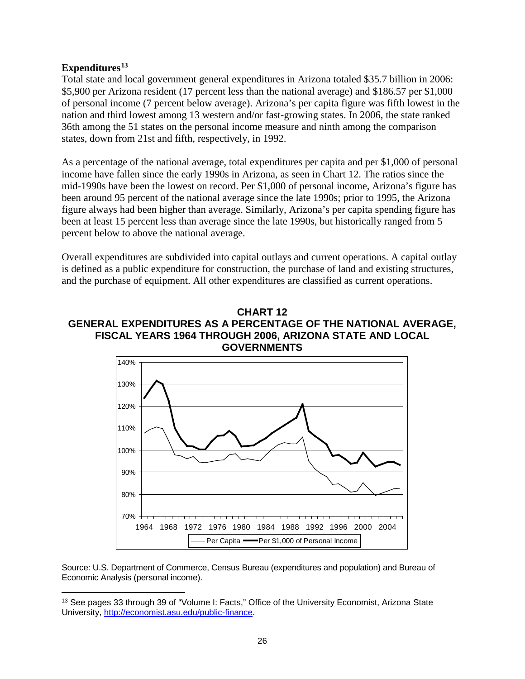# **Expenditures[13](#page-29-0)**

 $\overline{a}$ 

Total state and local government general expenditures in Arizona totaled \$35.7 billion in 2006: \$5,900 per Arizona resident (17 percent less than the national average) and \$186.57 per \$1,000 of personal income (7 percent below average). Arizona's per capita figure was fifth lowest in the nation and third lowest among 13 western and/or fast-growing states. In 2006, the state ranked 36th among the 51 states on the personal income measure and ninth among the comparison states, down from 21st and fifth, respectively, in 1992.

As a percentage of the national average, total expenditures per capita and per \$1,000 of personal income have fallen since the early 1990s in Arizona, as seen in Chart 12. The ratios since the mid-1990s have been the lowest on record. Per \$1,000 of personal income, Arizona's figure has been around 95 percent of the national average since the late 1990s; prior to 1995, the Arizona figure always had been higher than average. Similarly, Arizona's per capita spending figure has been at least 15 percent less than average since the late 1990s, but historically ranged from 5 percent below to above the national average.

Overall expenditures are subdivided into capital outlays and current operations. A capital outlay is defined as a public expenditure for construction, the purchase of land and existing structures, and the purchase of equipment. All other expenditures are classified as current operations.

# **CHART 12 GENERAL EXPENDITURES AS A PERCENTAGE OF THE NATIONAL AVERAGE, FISCAL YEARS 1964 THROUGH 2006, ARIZONA STATE AND LOCAL GOVERNMENTS**



Source: U.S. Department of Commerce, Census Bureau (expenditures and population) and Bureau of Economic Analysis (personal income).

<span id="page-29-0"></span><sup>&</sup>lt;sup>13</sup> See pages 33 through 39 of "Volume I: Facts," Office of the University Economist, Arizona State University, [http://economist.asu.edu/public-finance.](http://economist.asu.edu/public-finance)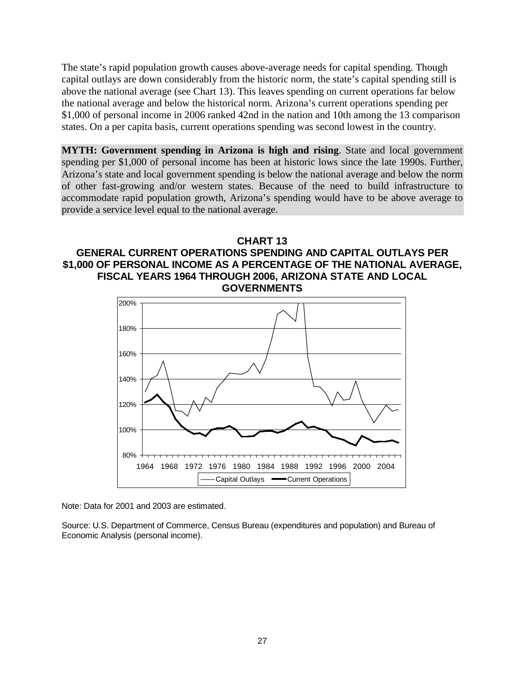The state's rapid population growth causes above-average needs for capital spending. Though capital outlays are down considerably from the historic norm, the state's capital spending still is above the national average (see Chart 13). This leaves spending on current operations far below the national average and below the historical norm. Arizona's current operations spending per \$1,000 of personal income in 2006 ranked 42nd in the nation and 10th among the 13 comparison states. On a per capita basis, current operations spending was second lowest in the country.

**MYTH: Government spending in Arizona is high and rising**. State and local government spending per \$1,000 of personal income has been at historic lows since the late 1990s. Further, Arizona's state and local government spending is below the national average and below the norm of other fast-growing and/or western states. Because of the need to build infrastructure to accommodate rapid population growth, Arizona's spending would have to be above average to provide a service level equal to the national average.

# **CHART 13 GENERAL CURRENT OPERATIONS SPENDING AND CAPITAL OUTLAYS PER \$1,000 OF PERSONAL INCOME AS A PERCENTAGE OF THE NATIONAL AVERAGE, FISCAL YEARS 1964 THROUGH 2006, ARIZONA STATE AND LOCAL GOVERNMENTS**



Note: Data for 2001 and 2003 are estimated.

Source: U.S. Department of Commerce, Census Bureau (expenditures and population) and Bureau of Economic Analysis (personal income).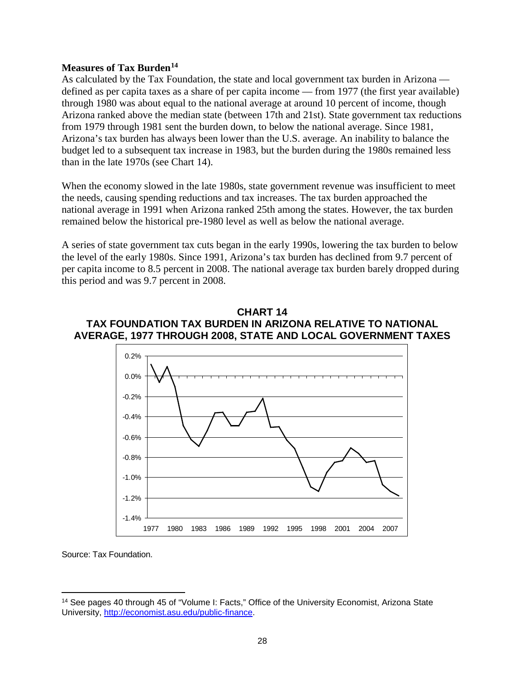# **Measures of Tax Burden[14](#page-31-0)**

As calculated by the Tax Foundation, the state and local government tax burden in Arizona defined as per capita taxes as a share of per capita income — from 1977 (the first year available) through 1980 was about equal to the national average at around 10 percent of income, though Arizona ranked above the median state (between 17th and 21st). State government tax reductions from 1979 through 1981 sent the burden down, to below the national average. Since 1981, Arizona's tax burden has always been lower than the U.S. average. An inability to balance the budget led to a subsequent tax increase in 1983, but the burden during the 1980s remained less than in the late 1970s (see Chart 14).

When the economy slowed in the late 1980s, state government revenue was insufficient to meet the needs, causing spending reductions and tax increases. The tax burden approached the national average in 1991 when Arizona ranked 25th among the states. However, the tax burden remained below the historical pre-1980 level as well as below the national average.

A series of state government tax cuts began in the early 1990s, lowering the tax burden to below the level of the early 1980s. Since 1991, Arizona's tax burden has declined from 9.7 percent of per capita income to 8.5 percent in 2008. The national average tax burden barely dropped during this period and was 9.7 percent in 2008.

# **CHART 14 TAX FOUNDATION TAX BURDEN IN ARIZONA RELATIVE TO NATIONAL AVERAGE, 1977 THROUGH 2008, STATE AND LOCAL GOVERNMENT TAXES**



Source: Tax Foundation.

<span id="page-31-0"></span><sup>14</sup> See pages 40 through 45 of "Volume I: Facts," Office of the University Economist, Arizona State University, [http://economist.asu.edu/public-finance.](http://economist.asu.edu/public-finance)  $\overline{a}$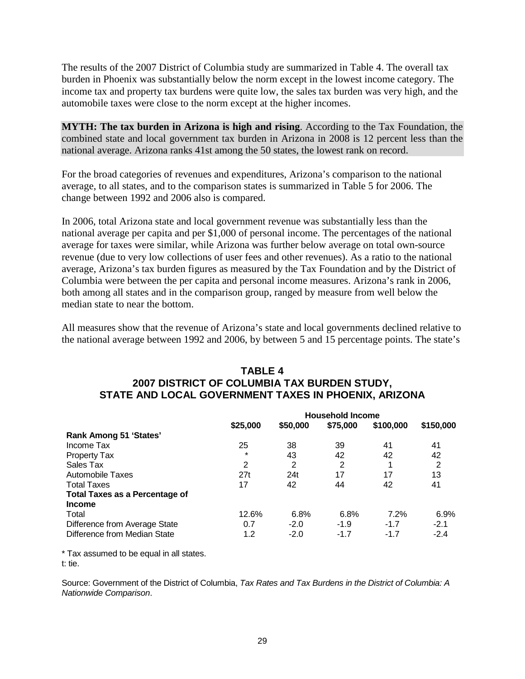The results of the 2007 District of Columbia study are summarized in Table 4. The overall tax burden in Phoenix was substantially below the norm except in the lowest income category. The income tax and property tax burdens were quite low, the sales tax burden was very high, and the automobile taxes were close to the norm except at the higher incomes.

**MYTH: The tax burden in Arizona is high and rising**. According to the Tax Foundation, the combined state and local government tax burden in Arizona in 2008 is 12 percent less than the national average. Arizona ranks 41st among the 50 states, the lowest rank on record.

For the broad categories of revenues and expenditures, Arizona's comparison to the national average, to all states, and to the comparison states is summarized in Table 5 for 2006. The change between 1992 and 2006 also is compared.

In 2006, total Arizona state and local government revenue was substantially less than the national average per capita and per \$1,000 of personal income. The percentages of the national average for taxes were similar, while Arizona was further below average on total own-source revenue (due to very low collections of user fees and other revenues). As a ratio to the national average, Arizona's tax burden figures as measured by the Tax Foundation and by the District of Columbia were between the per capita and personal income measures. Arizona's rank in 2006, both among all states and in the comparison group, ranged by measure from well below the median state to near the bottom.

All measures show that the revenue of Arizona's state and local governments declined relative to the national average between 1992 and 2006, by between 5 and 15 percentage points. The state's

# **TABLE 4 2007 DISTRICT OF COLUMBIA TAX BURDEN STUDY, STATE AND LOCAL GOVERNMENT TAXES IN PHOENIX, ARIZONA**

|                                       | <b>Household Income</b> |          |          |           |           |
|---------------------------------------|-------------------------|----------|----------|-----------|-----------|
|                                       | \$25,000                | \$50,000 | \$75,000 | \$100,000 | \$150,000 |
| <b>Rank Among 51 'States'</b>         |                         |          |          |           |           |
| Income Tax                            | 25                      | 38       | 39       | 41        | 41        |
| <b>Property Tax</b>                   | $\star$                 | 43       | 42       | 42        | 42        |
| Sales Tax                             | 2                       | 2        | 2        |           | 2         |
| Automobile Taxes                      | 27t                     | 24t      | 17       | 17        | 13        |
| <b>Total Taxes</b>                    | 17                      | 42       | 44       | 42        | 41        |
| <b>Total Taxes as a Percentage of</b> |                         |          |          |           |           |
| <b>Income</b>                         |                         |          |          |           |           |
| Total                                 | 12.6%                   | 6.8%     | 6.8%     | 7.2%      | 6.9%      |
| Difference from Average State         | 0.7                     | $-2.0$   | $-1.9$   | $-1.7$    | $-2.1$    |
| Difference from Median State          | 1.2                     | $-2.0$   | $-1.7$   | $-1.7$    | $-2.4$    |

\* Tax assumed to be equal in all states. t: tie.

Source: Government of the District of Columbia, *Tax Rates and Tax Burdens in the District of Columbia: A Nationwide Comparison*.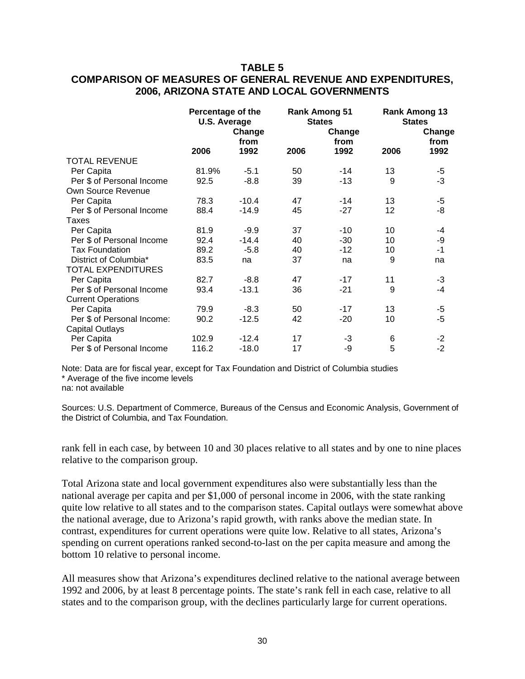# **TABLE 5 COMPARISON OF MEASURES OF GENERAL REVENUE AND EXPENDITURES, 2006, ARIZONA STATE AND LOCAL GOVERNMENTS**

|                            | Percentage of the<br><b>U.S. Average</b> |                | <b>Rank Among 51</b><br><b>States</b> |                | <b>Rank Among 13</b><br><b>States</b> |                |
|----------------------------|------------------------------------------|----------------|---------------------------------------|----------------|---------------------------------------|----------------|
|                            |                                          | Change<br>from |                                       | Change<br>from |                                       | Change<br>from |
|                            | 2006                                     | 1992           | 2006                                  | 1992           | 2006                                  | 1992           |
| <b>TOTAL REVENUE</b>       |                                          |                |                                       |                |                                       |                |
| Per Capita                 | 81.9%                                    | $-5.1$         | 50                                    | -14            | 13                                    | -5             |
| Per \$ of Personal Income  | 92.5                                     | $-8.8$         | 39                                    | $-13$          | 9                                     | $-3$           |
| Own Source Revenue         |                                          |                |                                       |                |                                       |                |
| Per Capita                 | 78.3                                     | $-10.4$        | 47                                    | $-14$          | 13                                    | $-5$           |
| Per \$ of Personal Income  | 88.4                                     | $-14.9$        | 45                                    | $-27$          | 12                                    | -8             |
| Taxes                      |                                          |                |                                       |                |                                       |                |
| Per Capita                 | 81.9                                     | $-9.9$         | 37                                    | $-10$          | 10                                    | -4             |
| Per \$ of Personal Income  | 92.4                                     | $-14.4$        | 40                                    | $-30$          | 10                                    | -9             |
| <b>Tax Foundation</b>      | 89.2                                     | $-5.8$         | 40                                    | $-12$          | 10                                    | $-1$           |
| District of Columbia*      | 83.5                                     | na             | 37                                    | na             | 9                                     | na             |
| <b>TOTAL EXPENDITURES</b>  |                                          |                |                                       |                |                                       |                |
| Per Capita                 | 82.7                                     | $-8.8$         | 47                                    | $-17$          | 11                                    | $-3$           |
| Per \$ of Personal Income  | 93.4                                     | $-13.1$        | 36                                    | $-21$          | 9                                     | -4             |
| <b>Current Operations</b>  |                                          |                |                                       |                |                                       |                |
| Per Capita                 | 79.9                                     | $-8.3$         | 50                                    | $-17$          | 13                                    | $-5$           |
| Per \$ of Personal Income: | 90.2                                     | $-12.5$        | 42                                    | $-20$          | 10                                    | $-5$           |
| <b>Capital Outlays</b>     |                                          |                |                                       |                |                                       |                |
| Per Capita                 | 102.9                                    | $-12.4$        | 17                                    | -3             | 6                                     | $-2$           |
| Per \$ of Personal Income  | 116.2                                    | $-18.0$        | 17                                    | -9             | 5                                     | $-2$           |

Note: Data are for fiscal year, except for Tax Foundation and District of Columbia studies \* Average of the five income levels na: not available

Sources: U.S. Department of Commerce, Bureaus of the Census and Economic Analysis, Government of the District of Columbia, and Tax Foundation.

rank fell in each case, by between 10 and 30 places relative to all states and by one to nine places relative to the comparison group.

Total Arizona state and local government expenditures also were substantially less than the national average per capita and per \$1,000 of personal income in 2006, with the state ranking quite low relative to all states and to the comparison states. Capital outlays were somewhat above the national average, due to Arizona's rapid growth, with ranks above the median state. In contrast, expenditures for current operations were quite low. Relative to all states, Arizona's spending on current operations ranked second-to-last on the per capita measure and among the bottom 10 relative to personal income.

All measures show that Arizona's expenditures declined relative to the national average between 1992 and 2006, by at least 8 percentage points. The state's rank fell in each case, relative to all states and to the comparison group, with the declines particularly large for current operations.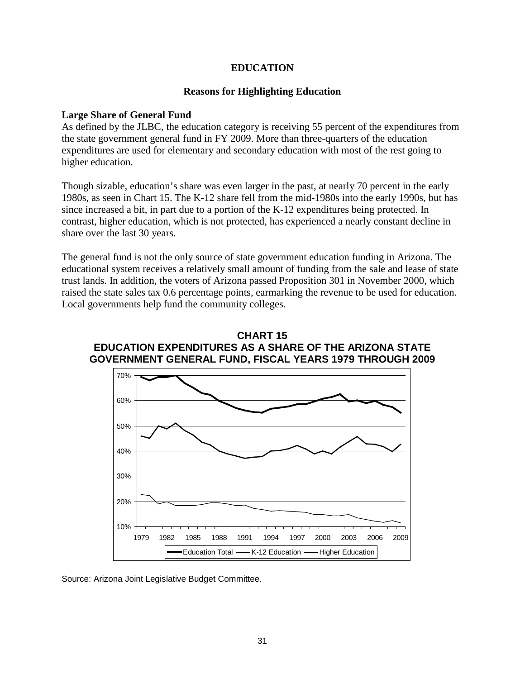# **EDUCATION**

# **Reasons for Highlighting Education**

#### **Large Share of General Fund**

As defined by the JLBC, the education category is receiving 55 percent of the expenditures from the state government general fund in FY 2009. More than three-quarters of the education expenditures are used for elementary and secondary education with most of the rest going to higher education.

Though sizable, education's share was even larger in the past, at nearly 70 percent in the early 1980s, as seen in Chart 15. The K-12 share fell from the mid-1980s into the early 1990s, but has since increased a bit, in part due to a portion of the K-12 expenditures being protected. In contrast, higher education, which is not protected, has experienced a nearly constant decline in share over the last 30 years.

The general fund is not the only source of state government education funding in Arizona. The educational system receives a relatively small amount of funding from the sale and lease of state trust lands. In addition, the voters of Arizona passed Proposition 301 in November 2000, which raised the state sales tax 0.6 percentage points, earmarking the revenue to be used for education. Local governments help fund the community colleges.





Source: Arizona Joint Legislative Budget Committee.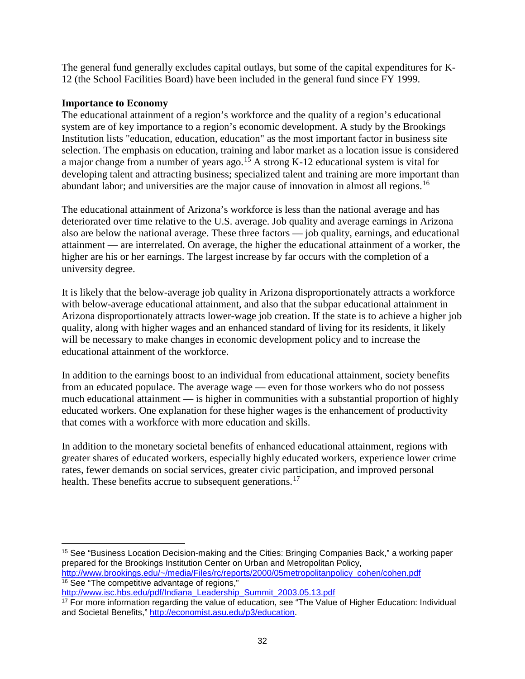The general fund generally excludes capital outlays, but some of the capital expenditures for K-12 (the School Facilities Board) have been included in the general fund since FY 1999.

# **Importance to Economy**

The educational attainment of a region's workforce and the quality of a region's educational system are of key importance to a region's economic development. A study by the Brookings Institution lists "education, education, education" as the most important factor in business site selection. The emphasis on education, training and labor market as a location issue is considered a major change from a number of years ago.<sup>[15](#page-35-0)</sup> A strong K-12 educational system is vital for developing talent and attracting business; specialized talent and training are more important than abundant labor; and universities are the major cause of innovation in almost all regions.<sup>[16](#page-35-1)</sup>

The educational attainment of Arizona's workforce is less than the national average and has deteriorated over time relative to the U.S. average. Job quality and average earnings in Arizona also are below the national average. These three factors — job quality, earnings, and educational attainment — are interrelated. On average, the higher the educational attainment of a worker, the higher are his or her earnings. The largest increase by far occurs with the completion of a university degree.

It is likely that the below-average job quality in Arizona disproportionately attracts a workforce with below-average educational attainment, and also that the subpar educational attainment in Arizona disproportionately attracts lower-wage job creation. If the state is to achieve a higher job quality, along with higher wages and an enhanced standard of living for its residents, it likely will be necessary to make changes in economic development policy and to increase the educational attainment of the workforce.

In addition to the earnings boost to an individual from educational attainment, society benefits from an educated populace. The average wage — even for those workers who do not possess much educational attainment — is higher in communities with a substantial proportion of highly educated workers. One explanation for these higher wages is the enhancement of productivity that comes with a workforce with more education and skills.

In addition to the monetary societal benefits of enhanced educational attainment, regions with greater shares of educated workers, especially highly educated workers, experience lower crime rates, fewer demands on social services, greater civic participation, and improved personal health. These benefits accrue to subsequent generations.<sup>[17](#page-35-2)</sup>

<span id="page-35-0"></span><sup>15</sup> See "Business Location Decision-making and the Cities: Bringing Companies Back," a working paper prepared for the Brookings Institution Center on Urban and Metropolitan Policy, [http://www.brookings.edu/~/media/Files/rc/reports/2000/05metropolitanpolicy\\_cohen/cohen.pdf](http://www.brookings.edu/%7E/media/Files/rc/reports/2000/05metropolitanpolicy_cohen/cohen.pdf) <sup>16</sup> See "The competitive advantage of regions,"  $\overline{a}$ 

<span id="page-35-1"></span>[http://www.isc.hbs.edu/pdf/Indiana\\_Leadership\\_Summit\\_2003.05.13.pdf](http://www.isc.hbs.edu/pdf/Indiana_Leadership_Summit_2003.05.13.pdf)

<span id="page-35-2"></span><sup>17</sup> For more information regarding the value of education, see "The Value of Higher Education: Individual and Societal Benefits," [http://economist.asu.edu/p3/education.](http://economist.asu.edu/p3/education)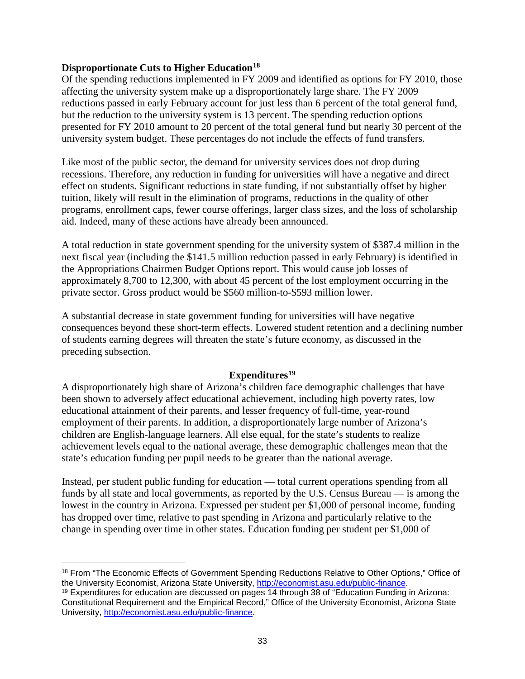# **Disproportionate Cuts to Higher Education[18](#page-36-0)**

Of the spending reductions implemented in FY 2009 and identified as options for FY 2010, those affecting the university system make up a disproportionately large share. The FY 2009 reductions passed in early February account for just less than 6 percent of the total general fund, but the reduction to the university system is 13 percent. The spending reduction options presented for FY 2010 amount to 20 percent of the total general fund but nearly 30 percent of the university system budget. These percentages do not include the effects of fund transfers.

Like most of the public sector, the demand for university services does not drop during recessions. Therefore, any reduction in funding for universities will have a negative and direct effect on students. Significant reductions in state funding, if not substantially offset by higher tuition, likely will result in the elimination of programs, reductions in the quality of other programs, enrollment caps, fewer course offerings, larger class sizes, and the loss of scholarship aid. Indeed, many of these actions have already been announced.

A total reduction in state government spending for the university system of \$387.4 million in the next fiscal year (including the \$141.5 million reduction passed in early February) is identified in the Appropriations Chairmen Budget Options report. This would cause job losses of approximately 8,700 to 12,300, with about 45 percent of the lost employment occurring in the private sector. Gross product would be \$560 million-to-\$593 million lower.

A substantial decrease in state government funding for universities will have negative consequences beyond these short-term effects. Lowered student retention and a declining number of students earning degrees will threaten the state's future economy, as discussed in the preceding subsection.

# **Expenditures[19](#page-36-1)**

A disproportionately high share of Arizona's children face demographic challenges that have been shown to adversely affect educational achievement, including high poverty rates, low educational attainment of their parents, and lesser frequency of full-time, year-round employment of their parents. In addition, a disproportionately large number of Arizona's children are English-language learners. All else equal, for the state's students to realize achievement levels equal to the national average, these demographic challenges mean that the state's education funding per pupil needs to be greater than the national average.

Instead, per student public funding for education — total current operations spending from all funds by all state and local governments, as reported by the U.S. Census Bureau — is among the lowest in the country in Arizona. Expressed per student per \$1,000 of personal income, funding has dropped over time, relative to past spending in Arizona and particularly relative to the change in spending over time in other states. Education funding per student per \$1,000 of

<span id="page-36-0"></span><sup>18</sup> From "The Economic Effects of Government Spending Reductions Relative to Other Options," Office of the University Economist, Arizona State University, [http://economist.asu.edu/public-finance.](http://economist.asu.edu/public-finance)  $\overline{a}$ 

<span id="page-36-1"></span><sup>19</sup> Expenditures for education are discussed on pages 14 through 38 of "Education Funding in Arizona: Constitutional Requirement and the Empirical Record," Office of the University Economist, Arizona State University, [http://economist.asu.edu/public-finance.](http://economist.asu.edu/public-finance)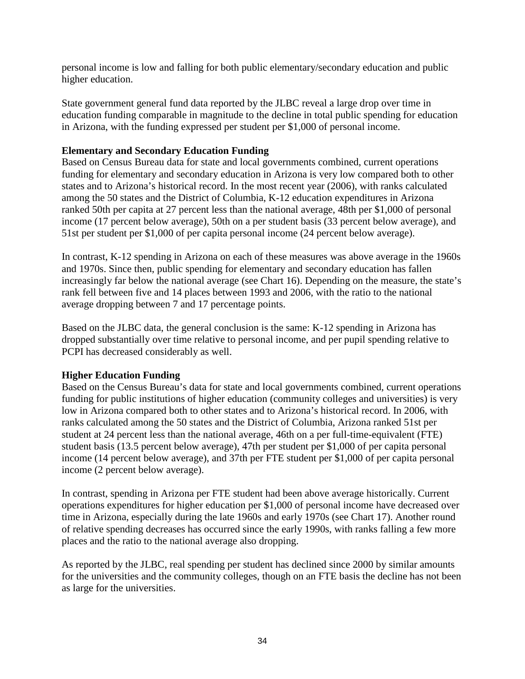personal income is low and falling for both public elementary/secondary education and public higher education.

State government general fund data reported by the JLBC reveal a large drop over time in education funding comparable in magnitude to the decline in total public spending for education in Arizona, with the funding expressed per student per \$1,000 of personal income.

# **Elementary and Secondary Education Funding**

Based on Census Bureau data for state and local governments combined, current operations funding for elementary and secondary education in Arizona is very low compared both to other states and to Arizona's historical record. In the most recent year (2006), with ranks calculated among the 50 states and the District of Columbia, K-12 education expenditures in Arizona ranked 50th per capita at 27 percent less than the national average, 48th per \$1,000 of personal income (17 percent below average), 50th on a per student basis (33 percent below average), and 51st per student per \$1,000 of per capita personal income (24 percent below average).

In contrast, K-12 spending in Arizona on each of these measures was above average in the 1960s and 1970s. Since then, public spending for elementary and secondary education has fallen increasingly far below the national average (see Chart 16). Depending on the measure, the state's rank fell between five and 14 places between 1993 and 2006, with the ratio to the national average dropping between 7 and 17 percentage points.

Based on the JLBC data, the general conclusion is the same: K-12 spending in Arizona has dropped substantially over time relative to personal income, and per pupil spending relative to PCPI has decreased considerably as well.

# **Higher Education Funding**

Based on the Census Bureau's data for state and local governments combined, current operations funding for public institutions of higher education (community colleges and universities) is very low in Arizona compared both to other states and to Arizona's historical record. In 2006, with ranks calculated among the 50 states and the District of Columbia, Arizona ranked 51st per student at 24 percent less than the national average, 46th on a per full-time-equivalent (FTE) student basis (13.5 percent below average), 47th per student per \$1,000 of per capita personal income (14 percent below average), and 37th per FTE student per \$1,000 of per capita personal income (2 percent below average).

In contrast, spending in Arizona per FTE student had been above average historically. Current operations expenditures for higher education per \$1,000 of personal income have decreased over time in Arizona, especially during the late 1960s and early 1970s (see Chart 17). Another round of relative spending decreases has occurred since the early 1990s, with ranks falling a few more places and the ratio to the national average also dropping.

As reported by the JLBC, real spending per student has declined since 2000 by similar amounts for the universities and the community colleges, though on an FTE basis the decline has not been as large for the universities.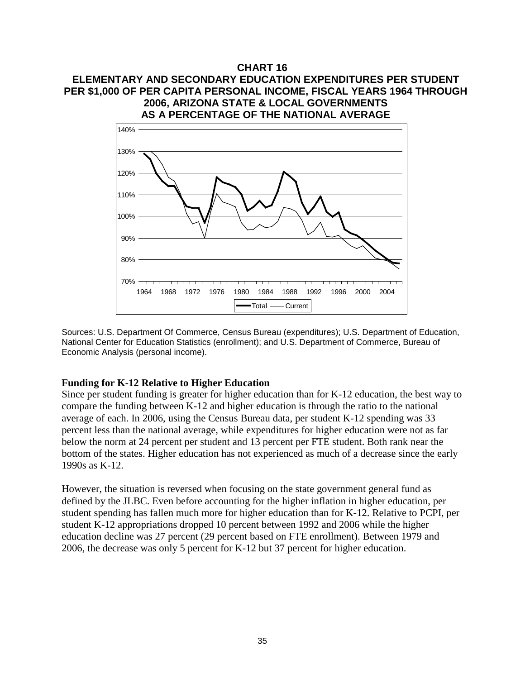# **CHART 16 ELEMENTARY AND SECONDARY EDUCATION EXPENDITURES PER STUDENT PER \$1,000 OF PER CAPITA PERSONAL INCOME, FISCAL YEARS 1964 THROUGH 2006, ARIZONA STATE & LOCAL GOVERNMENTS AS A PERCENTAGE OF THE NATIONAL AVERAGE**



Sources: U.S. Department Of Commerce, Census Bureau (expenditures); U.S. Department of Education, National Center for Education Statistics (enrollment); and U.S. Department of Commerce, Bureau of Economic Analysis (personal income).

# **Funding for K-12 Relative to Higher Education**

Since per student funding is greater for higher education than for K-12 education, the best way to compare the funding between K-12 and higher education is through the ratio to the national average of each. In 2006, using the Census Bureau data, per student K-12 spending was 33 percent less than the national average, while expenditures for higher education were not as far below the norm at 24 percent per student and 13 percent per FTE student. Both rank near the bottom of the states. Higher education has not experienced as much of a decrease since the early 1990s as K-12.

However, the situation is reversed when focusing on the state government general fund as defined by the JLBC. Even before accounting for the higher inflation in higher education, per student spending has fallen much more for higher education than for K-12. Relative to PCPI, per student K-12 appropriations dropped 10 percent between 1992 and 2006 while the higher education decline was 27 percent (29 percent based on FTE enrollment). Between 1979 and 2006, the decrease was only 5 percent for K-12 but 37 percent for higher education.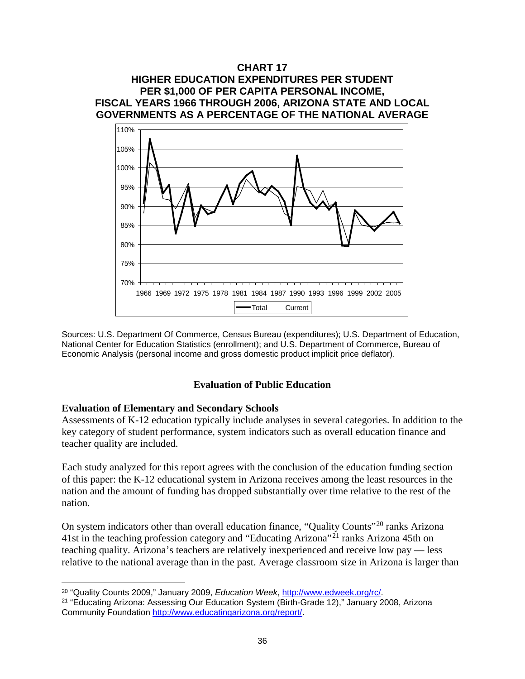

Sources: U.S. Department Of Commerce, Census Bureau (expenditures); U.S. Department of Education, National Center for Education Statistics (enrollment); and U.S. Department of Commerce, Bureau of Economic Analysis (personal income and gross domestic product implicit price deflator).

# **Evaluation of Public Education**

# **Evaluation of Elementary and Secondary Schools**

Assessments of K-12 education typically include analyses in several categories. In addition to the key category of student performance, system indicators such as overall education finance and teacher quality are included.

Each study analyzed for this report agrees with the conclusion of the education funding section of this paper: the K-12 educational system in Arizona receives among the least resources in the nation and the amount of funding has dropped substantially over time relative to the rest of the nation.

On system indicators other than overall education finance, "Quality Counts"<sup>[20](#page-39-0)</sup> ranks Arizona 41st in the teaching profession category and "Educating Arizona"<sup>[21](#page-39-1)</sup> ranks Arizona 45th on teaching quality. Arizona's teachers are relatively inexperienced and receive low pay — less relative to the national average than in the past. Average classroom size in Arizona is larger than

 $\overline{a}$ 

<span id="page-39-1"></span><span id="page-39-0"></span><sup>&</sup>lt;sup>20</sup> "Quality Counts 2009," January 2009, *Education Week*, *http://www.edweek.org/rc/*.<br><sup>21</sup> "Educating Arizona: Assessing Our Education System (Birth-Grade 12)," January 2008, Arizona Community Foundation [http://www.educatingarizona.org/report/.](http://www.educatingarizona.org/report/)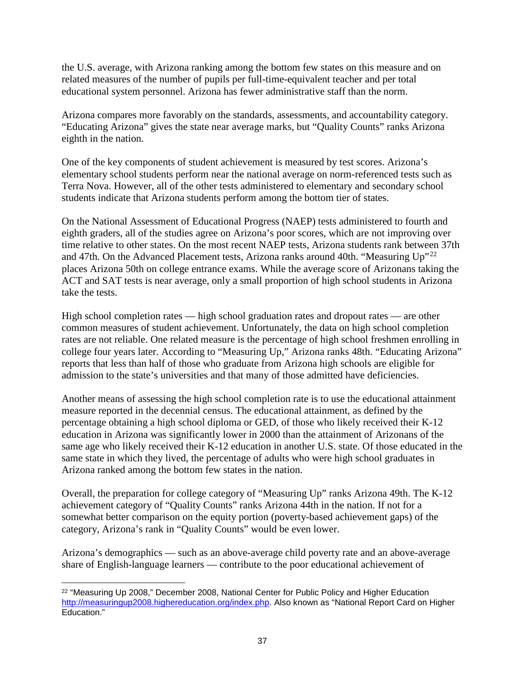the U.S. average, with Arizona ranking among the bottom few states on this measure and on related measures of the number of pupils per full-time-equivalent teacher and per total educational system personnel. Arizona has fewer administrative staff than the norm.

Arizona compares more favorably on the standards, assessments, and accountability category. "Educating Arizona" gives the state near average marks, but "Quality Counts" ranks Arizona eighth in the nation.

One of the key components of student achievement is measured by test scores. Arizona's elementary school students perform near the national average on norm-referenced tests such as Terra Nova. However, all of the other tests administered to elementary and secondary school students indicate that Arizona students perform among the bottom tier of states.

On the National Assessment of Educational Progress (NAEP) tests administered to fourth and eighth graders, all of the studies agree on Arizona's poor scores, which are not improving over time relative to other states. On the most recent NAEP tests, Arizona students rank between 37th and 47th. On the Advanced Placement tests, Arizona ranks around 40th. "Measuring Up"<sup>[22](#page-40-0)</sup> places Arizona 50th on college entrance exams. While the average score of Arizonans taking the ACT and SAT tests is near average, only a small proportion of high school students in Arizona take the tests.

High school completion rates — high school graduation rates and dropout rates — are other common measures of student achievement. Unfortunately, the data on high school completion rates are not reliable. One related measure is the percentage of high school freshmen enrolling in college four years later. According to "Measuring Up," Arizona ranks 48th. "Educating Arizona" reports that less than half of those who graduate from Arizona high schools are eligible for admission to the state's universities and that many of those admitted have deficiencies.

Another means of assessing the high school completion rate is to use the educational attainment measure reported in the decennial census. The educational attainment, as defined by the percentage obtaining a high school diploma or GED, of those who likely received their K-12 education in Arizona was significantly lower in 2000 than the attainment of Arizonans of the same age who likely received their K-12 education in another U.S. state. Of those educated in the same state in which they lived, the percentage of adults who were high school graduates in Arizona ranked among the bottom few states in the nation.

Overall, the preparation for college category of "Measuring Up" ranks Arizona 49th. The K-12 achievement category of "Quality Counts" ranks Arizona 44th in the nation. If not for a somewhat better comparison on the equity portion (poverty-based achievement gaps) of the category, Arizona's rank in "Quality Counts" would be even lower.

Arizona's demographics — such as an above-average child poverty rate and an above-average share of English-language learners — contribute to the poor educational achievement of

<span id="page-40-0"></span><sup>&</sup>lt;sup>22</sup> "Measuring Up 2008," December 2008, National Center for Public Policy and Higher Education [http://measuringup2008.highereducation.org/index.php.](http://measuringup2008.highereducation.org/index.php) Also known as "National Report Card on Higher Education."  $\overline{a}$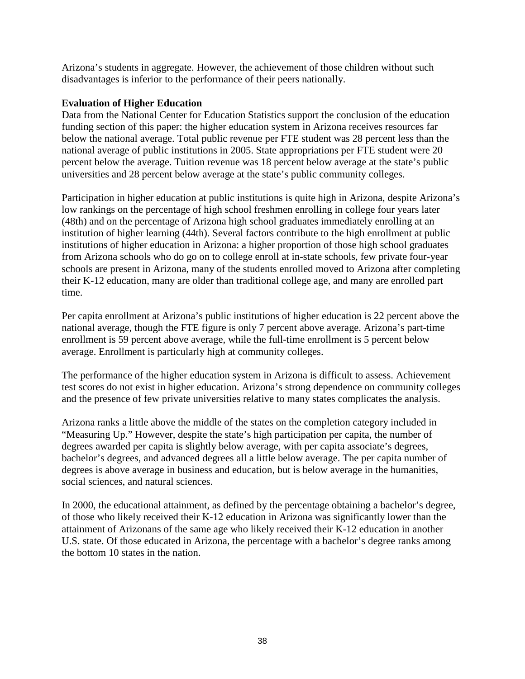Arizona's students in aggregate. However, the achievement of those children without such disadvantages is inferior to the performance of their peers nationally.

# **Evaluation of Higher Education**

Data from the National Center for Education Statistics support the conclusion of the education funding section of this paper: the higher education system in Arizona receives resources far below the national average. Total public revenue per FTE student was 28 percent less than the national average of public institutions in 2005. State appropriations per FTE student were 20 percent below the average. Tuition revenue was 18 percent below average at the state's public universities and 28 percent below average at the state's public community colleges.

Participation in higher education at public institutions is quite high in Arizona, despite Arizona's low rankings on the percentage of high school freshmen enrolling in college four years later (48th) and on the percentage of Arizona high school graduates immediately enrolling at an institution of higher learning (44th). Several factors contribute to the high enrollment at public institutions of higher education in Arizona: a higher proportion of those high school graduates from Arizona schools who do go on to college enroll at in-state schools, few private four-year schools are present in Arizona, many of the students enrolled moved to Arizona after completing their K-12 education, many are older than traditional college age, and many are enrolled part time.

Per capita enrollment at Arizona's public institutions of higher education is 22 percent above the national average, though the FTE figure is only 7 percent above average. Arizona's part-time enrollment is 59 percent above average, while the full-time enrollment is 5 percent below average. Enrollment is particularly high at community colleges.

The performance of the higher education system in Arizona is difficult to assess. Achievement test scores do not exist in higher education. Arizona's strong dependence on community colleges and the presence of few private universities relative to many states complicates the analysis.

Arizona ranks a little above the middle of the states on the completion category included in "Measuring Up." However, despite the state's high participation per capita, the number of degrees awarded per capita is slightly below average, with per capita associate's degrees, bachelor's degrees, and advanced degrees all a little below average. The per capita number of degrees is above average in business and education, but is below average in the humanities, social sciences, and natural sciences.

In 2000, the educational attainment, as defined by the percentage obtaining a bachelor's degree, of those who likely received their K-12 education in Arizona was significantly lower than the attainment of Arizonans of the same age who likely received their K-12 education in another U.S. state. Of those educated in Arizona, the percentage with a bachelor's degree ranks among the bottom 10 states in the nation.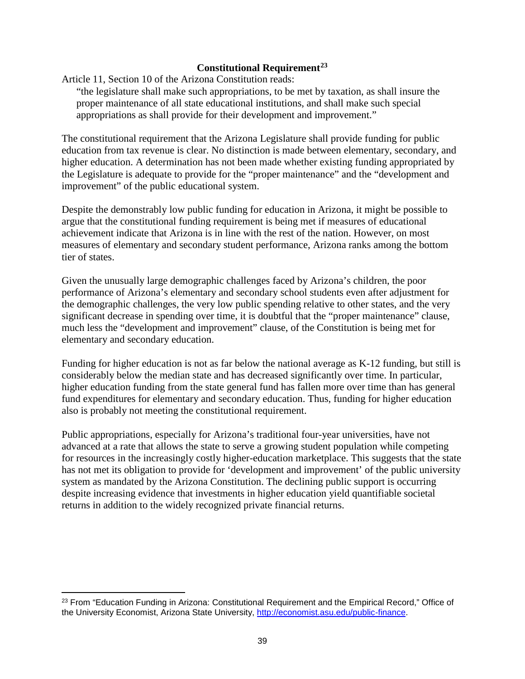# **Constitutional Requirement[23](#page-42-0)**

Article 11, Section 10 of the Arizona Constitution reads:

"the legislature shall make such appropriations, to be met by taxation, as shall insure the proper maintenance of all state educational institutions, and shall make such special appropriations as shall provide for their development and improvement."

The constitutional requirement that the Arizona Legislature shall provide funding for public education from tax revenue is clear. No distinction is made between elementary, secondary, and higher education. A determination has not been made whether existing funding appropriated by the Legislature is adequate to provide for the "proper maintenance" and the "development and improvement" of the public educational system.

Despite the demonstrably low public funding for education in Arizona, it might be possible to argue that the constitutional funding requirement is being met if measures of educational achievement indicate that Arizona is in line with the rest of the nation. However, on most measures of elementary and secondary student performance, Arizona ranks among the bottom tier of states.

Given the unusually large demographic challenges faced by Arizona's children, the poor performance of Arizona's elementary and secondary school students even after adjustment for the demographic challenges, the very low public spending relative to other states, and the very significant decrease in spending over time, it is doubtful that the "proper maintenance" clause, much less the "development and improvement" clause, of the Constitution is being met for elementary and secondary education.

Funding for higher education is not as far below the national average as K-12 funding, but still is considerably below the median state and has decreased significantly over time. In particular, higher education funding from the state general fund has fallen more over time than has general fund expenditures for elementary and secondary education. Thus, funding for higher education also is probably not meeting the constitutional requirement.

Public appropriations, especially for Arizona's traditional four-year universities, have not advanced at a rate that allows the state to serve a growing student population while competing for resources in the increasingly costly higher-education marketplace. This suggests that the state has not met its obligation to provide for 'development and improvement' of the public university system as mandated by the Arizona Constitution. The declining public support is occurring despite increasing evidence that investments in higher education yield quantifiable societal returns in addition to the widely recognized private financial returns.

 $\overline{a}$ 

<span id="page-42-0"></span><sup>&</sup>lt;sup>23</sup> From "Education Funding in Arizona: Constitutional Requirement and the Empirical Record," Office of the University Economist, Arizona State University, [http://economist.asu.edu/public-finance.](http://economist.asu.edu/public-finance)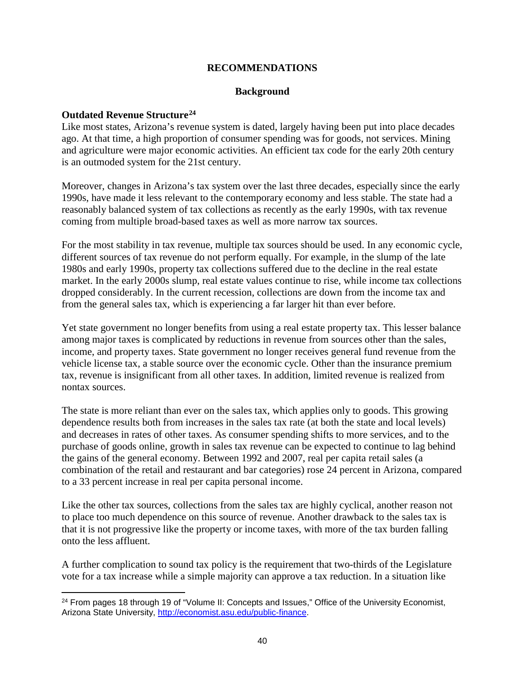# **RECOMMENDATIONS**

# **Background**

#### **Outdated Revenue Structure[24](#page-43-0)**

 $\overline{a}$ 

Like most states, Arizona's revenue system is dated, largely having been put into place decades ago. At that time, a high proportion of consumer spending was for goods, not services. Mining and agriculture were major economic activities. An efficient tax code for the early 20th century is an outmoded system for the 21st century.

Moreover, changes in Arizona's tax system over the last three decades, especially since the early 1990s, have made it less relevant to the contemporary economy and less stable. The state had a reasonably balanced system of tax collections as recently as the early 1990s, with tax revenue coming from multiple broad-based taxes as well as more narrow tax sources.

For the most stability in tax revenue, multiple tax sources should be used. In any economic cycle, different sources of tax revenue do not perform equally. For example, in the slump of the late 1980s and early 1990s, property tax collections suffered due to the decline in the real estate market. In the early 2000s slump, real estate values continue to rise, while income tax collections dropped considerably. In the current recession, collections are down from the income tax and from the general sales tax, which is experiencing a far larger hit than ever before.

Yet state government no longer benefits from using a real estate property tax. This lesser balance among major taxes is complicated by reductions in revenue from sources other than the sales, income, and property taxes. State government no longer receives general fund revenue from the vehicle license tax, a stable source over the economic cycle. Other than the insurance premium tax, revenue is insignificant from all other taxes. In addition, limited revenue is realized from nontax sources.

The state is more reliant than ever on the sales tax, which applies only to goods. This growing dependence results both from increases in the sales tax rate (at both the state and local levels) and decreases in rates of other taxes. As consumer spending shifts to more services, and to the purchase of goods online, growth in sales tax revenue can be expected to continue to lag behind the gains of the general economy. Between 1992 and 2007, real per capita retail sales (a combination of the retail and restaurant and bar categories) rose 24 percent in Arizona, compared to a 33 percent increase in real per capita personal income.

Like the other tax sources, collections from the sales tax are highly cyclical, another reason not to place too much dependence on this source of revenue. Another drawback to the sales tax is that it is not progressive like the property or income taxes, with more of the tax burden falling onto the less affluent.

A further complication to sound tax policy is the requirement that two-thirds of the Legislature vote for a tax increase while a simple majority can approve a tax reduction. In a situation like

<span id="page-43-0"></span><sup>&</sup>lt;sup>24</sup> From pages 18 through 19 of "Volume II: Concepts and Issues," Office of the University Economist, Arizona State University, [http://economist.asu.edu/public-finance.](http://economist.asu.edu/public-finance)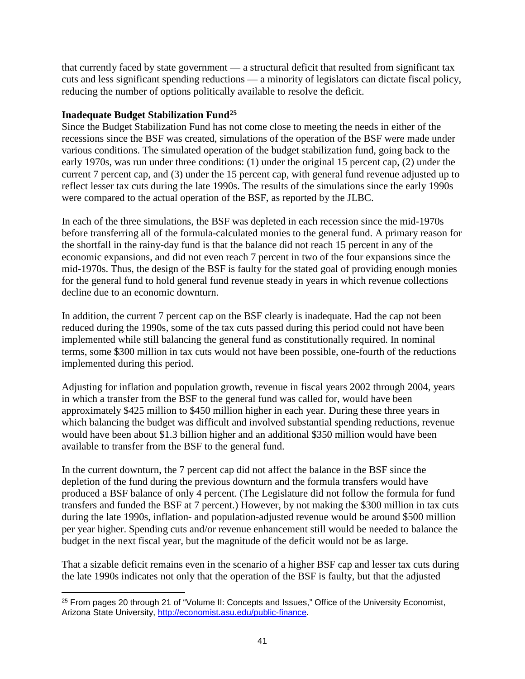that currently faced by state government — a structural deficit that resulted from significant tax cuts and less significant spending reductions — a minority of legislators can dictate fiscal policy, reducing the number of options politically available to resolve the deficit.

# **Inadequate Budget Stabilization Fund[25](#page-44-0)**

 $\overline{a}$ 

Since the Budget Stabilization Fund has not come close to meeting the needs in either of the recessions since the BSF was created, simulations of the operation of the BSF were made under various conditions. The simulated operation of the budget stabilization fund, going back to the early 1970s, was run under three conditions: (1) under the original 15 percent cap, (2) under the current 7 percent cap, and (3) under the 15 percent cap, with general fund revenue adjusted up to reflect lesser tax cuts during the late 1990s. The results of the simulations since the early 1990s were compared to the actual operation of the BSF, as reported by the JLBC.

In each of the three simulations, the BSF was depleted in each recession since the mid-1970s before transferring all of the formula-calculated monies to the general fund. A primary reason for the shortfall in the rainy-day fund is that the balance did not reach 15 percent in any of the economic expansions, and did not even reach 7 percent in two of the four expansions since the mid-1970s. Thus, the design of the BSF is faulty for the stated goal of providing enough monies for the general fund to hold general fund revenue steady in years in which revenue collections decline due to an economic downturn.

In addition, the current 7 percent cap on the BSF clearly is inadequate. Had the cap not been reduced during the 1990s, some of the tax cuts passed during this period could not have been implemented while still balancing the general fund as constitutionally required. In nominal terms, some \$300 million in tax cuts would not have been possible, one-fourth of the reductions implemented during this period.

Adjusting for inflation and population growth, revenue in fiscal years 2002 through 2004, years in which a transfer from the BSF to the general fund was called for, would have been approximately \$425 million to \$450 million higher in each year. During these three years in which balancing the budget was difficult and involved substantial spending reductions, revenue would have been about \$1.3 billion higher and an additional \$350 million would have been available to transfer from the BSF to the general fund.

In the current downturn, the 7 percent cap did not affect the balance in the BSF since the depletion of the fund during the previous downturn and the formula transfers would have produced a BSF balance of only 4 percent. (The Legislature did not follow the formula for fund transfers and funded the BSF at 7 percent.) However, by not making the \$300 million in tax cuts during the late 1990s, inflation- and population-adjusted revenue would be around \$500 million per year higher. Spending cuts and/or revenue enhancement still would be needed to balance the budget in the next fiscal year, but the magnitude of the deficit would not be as large.

That a sizable deficit remains even in the scenario of a higher BSF cap and lesser tax cuts during the late 1990s indicates not only that the operation of the BSF is faulty, but that the adjusted

<span id="page-44-0"></span><sup>&</sup>lt;sup>25</sup> From pages 20 through 21 of "Volume II: Concepts and Issues," Office of the University Economist, Arizona State University, [http://economist.asu.edu/public-finance.](http://economist.asu.edu/public-finance)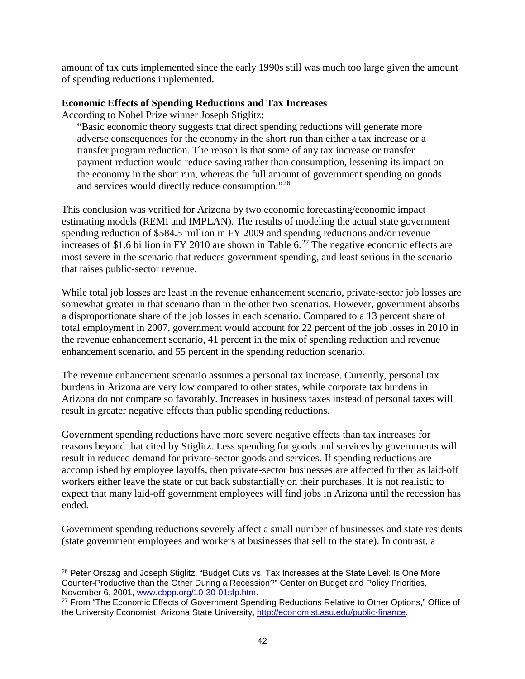amount of tax cuts implemented since the early 1990s still was much too large given the amount of spending reductions implemented.

# **Economic Effects of Spending Reductions and Tax Increases**

According to Nobel Prize winner Joseph Stiglitz:

 $\overline{a}$ 

"Basic economic theory suggests that direct spending reductions will generate more adverse consequences for the economy in the short run than either a tax increase or a transfer program reduction. The reason is that some of any tax increase or transfer payment reduction would reduce saving rather than consumption, lessening its impact on the economy in the short run, whereas the full amount of government spending on goods and services would directly reduce consumption."[26](#page-45-0)

This conclusion was verified for Arizona by two economic forecasting/economic impact estimating models (REMI and IMPLAN). The results of modeling the actual state government spending reduction of \$584.5 million in FY 2009 and spending reductions and/or revenue increases of \$1.6 billion in FY 2010 are shown in Table 6.<sup>[27](#page-45-1)</sup> The negative economic effects are most severe in the scenario that reduces government spending, and least serious in the scenario that raises public-sector revenue.

While total job losses are least in the revenue enhancement scenario, private-sector job losses are somewhat greater in that scenario than in the other two scenarios. However, government absorbs a disproportionate share of the job losses in each scenario. Compared to a 13 percent share of total employment in 2007, government would account for 22 percent of the job losses in 2010 in the revenue enhancement scenario, 41 percent in the mix of spending reduction and revenue enhancement scenario, and 55 percent in the spending reduction scenario.

The revenue enhancement scenario assumes a personal tax increase. Currently, personal tax burdens in Arizona are very low compared to other states, while corporate tax burdens in Arizona do not compare so favorably. Increases in business taxes instead of personal taxes will result in greater negative effects than public spending reductions.

Government spending reductions have more severe negative effects than tax increases for reasons beyond that cited by Stiglitz. Less spending for goods and services by governments will result in reduced demand for private-sector goods and services. If spending reductions are accomplished by employee layoffs, then private-sector businesses are affected further as laid-off workers either leave the state or cut back substantially on their purchases. It is not realistic to expect that many laid-off government employees will find jobs in Arizona until the recession has ended.

Government spending reductions severely affect a small number of businesses and state residents (state government employees and workers at businesses that sell to the state). In contrast, a

<span id="page-45-0"></span><sup>&</sup>lt;sup>26</sup> Peter Orszag and Joseph Stiglitz, "Budget Cuts vs. Tax Increases at the State Level: Is One More Counter-Productive than the Other During a Recession?" Center on Budget and Policy Priorities, November 6, 2001, www.cbpp.org/10-30-01sfp.htm.

<span id="page-45-1"></span><sup>&</sup>lt;sup>27</sup> From "The Economic Effects of Government Spending Reductions Relative to Other Options," Office of the University Economist, Arizona State University, [http://economist.asu.edu/public-finance.](http://economist.asu.edu/public-finance)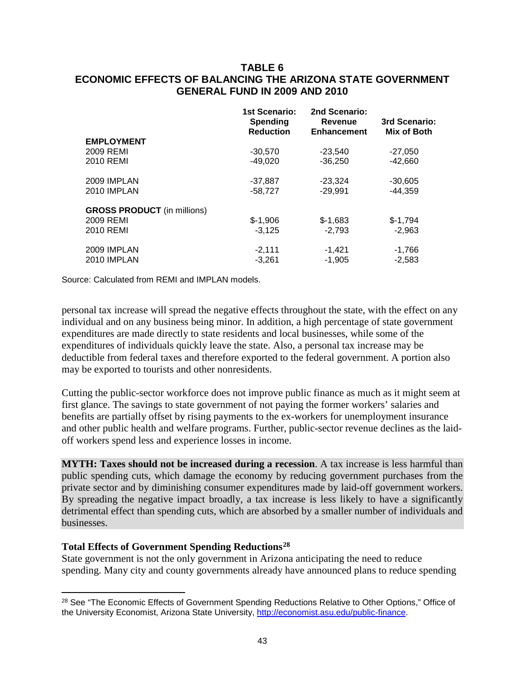# **TABLE 6 ECONOMIC EFFECTS OF BALANCING THE ARIZONA STATE GOVERNMENT GENERAL FUND IN 2009 AND 2010**

|                                    | <b>1st Scenario:</b><br><b>Spending</b><br><b>Reduction</b> | 2nd Scenario:<br>Revenue<br><b>Enhancement</b> | 3rd Scenario:<br>Mix of Both |
|------------------------------------|-------------------------------------------------------------|------------------------------------------------|------------------------------|
| <b>EMPLOYMENT</b>                  |                                                             |                                                |                              |
| 2009 REMI                          | $-30.570$                                                   | $-23.540$                                      | $-27.050$                    |
| 2010 REMI                          | $-49.020$                                                   | $-36,250$                                      | $-42,660$                    |
| 2009 IMPLAN                        | $-37,887$                                                   | $-23,324$                                      | $-30,605$                    |
| 2010 IMPLAN                        | $-58,727$                                                   | $-29,991$                                      | $-44,359$                    |
| <b>GROSS PRODUCT</b> (in millions) |                                                             |                                                |                              |
| 2009 REMI                          | $$-1,906$                                                   | $$-1.683$                                      | $$-1,794$                    |
| 2010 REMI                          | $-3,125$                                                    | $-2.793$                                       | $-2,963$                     |
| 2009 IMPLAN                        | $-2,111$                                                    | $-1,421$                                       | $-1,766$                     |
| 2010 IMPLAN                        | $-3.261$                                                    | $-1,905$                                       | $-2,583$                     |

Source: Calculated from REMI and IMPLAN models.

personal tax increase will spread the negative effects throughout the state, with the effect on any individual and on any business being minor. In addition, a high percentage of state government expenditures are made directly to state residents and local businesses, while some of the expenditures of individuals quickly leave the state. Also, a personal tax increase may be deductible from federal taxes and therefore exported to the federal government. A portion also may be exported to tourists and other nonresidents.

Cutting the public-sector workforce does not improve public finance as much as it might seem at first glance. The savings to state government of not paying the former workers' salaries and benefits are partially offset by rising payments to the ex-workers for unemployment insurance and other public health and welfare programs. Further, public-sector revenue declines as the laidoff workers spend less and experience losses in income.

**MYTH: Taxes should not be increased during a recession**. A tax increase is less harmful than public spending cuts, which damage the economy by reducing government purchases from the private sector and by diminishing consumer expenditures made by laid-off government workers. By spreading the negative impact broadly, a tax increase is less likely to have a significantly detrimental effect than spending cuts, which are absorbed by a smaller number of individuals and businesses.

# **Total Effects of Government Spending Reductions[28](#page-46-0)**

 $\overline{a}$ 

State government is not the only government in Arizona anticipating the need to reduce spending. Many city and county governments already have announced plans to reduce spending

<span id="page-46-0"></span><sup>&</sup>lt;sup>28</sup> See "The Economic Effects of Government Spending Reductions Relative to Other Options," Office of the University Economist, Arizona State University, [http://economist.asu.edu/public-finance.](http://economist.asu.edu/public-finance)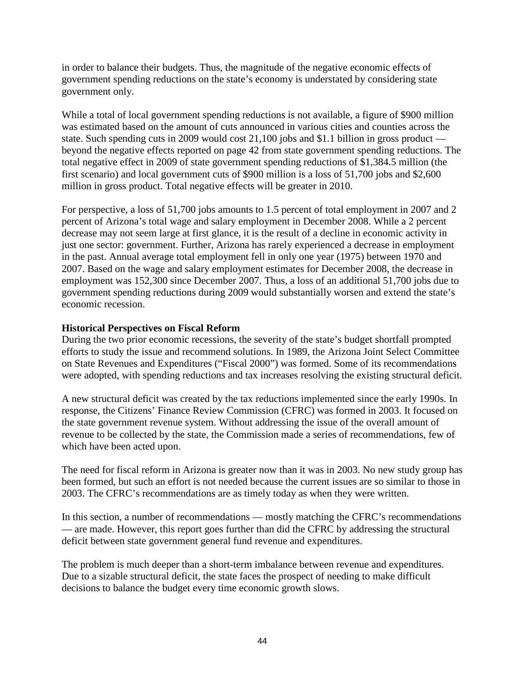in order to balance their budgets. Thus, the magnitude of the negative economic effects of government spending reductions on the state's economy is understated by considering state government only.

While a total of local government spending reductions is not available, a figure of \$900 million was estimated based on the amount of cuts announced in various cities and counties across the state. Such spending cuts in 2009 would cost 21,100 jobs and \$1.1 billion in gross product beyond the negative effects reported on page 42 from state government spending reductions. The total negative effect in 2009 of state government spending reductions of \$1,384.5 million (the first scenario) and local government cuts of \$900 million is a loss of 51,700 jobs and \$2,600 million in gross product. Total negative effects will be greater in 2010.

For perspective, a loss of 51,700 jobs amounts to 1.5 percent of total employment in 2007 and 2 percent of Arizona's total wage and salary employment in December 2008. While a 2 percent decrease may not seem large at first glance, it is the result of a decline in economic activity in just one sector: government. Further, Arizona has rarely experienced a decrease in employment in the past. Annual average total employment fell in only one year (1975) between 1970 and 2007. Based on the wage and salary employment estimates for December 2008, the decrease in employment was 152,300 since December 2007. Thus, a loss of an additional 51,700 jobs due to government spending reductions during 2009 would substantially worsen and extend the state's economic recession.

# **Historical Perspectives on Fiscal Reform**

During the two prior economic recessions, the severity of the state's budget shortfall prompted efforts to study the issue and recommend solutions. In 1989, the Arizona Joint Select Committee on State Revenues and Expenditures ("Fiscal 2000") was formed. Some of its recommendations were adopted, with spending reductions and tax increases resolving the existing structural deficit.

A new structural deficit was created by the tax reductions implemented since the early 1990s. In response, the Citizens' Finance Review Commission (CFRC) was formed in 2003. It focused on the state government revenue system. Without addressing the issue of the overall amount of revenue to be collected by the state, the Commission made a series of recommendations, few of which have been acted upon.

The need for fiscal reform in Arizona is greater now than it was in 2003. No new study group has been formed, but such an effort is not needed because the current issues are so similar to those in 2003. The CFRC's recommendations are as timely today as when they were written.

In this section, a number of recommendations — mostly matching the CFRC's recommendations — are made. However, this report goes further than did the CFRC by addressing the structural deficit between state government general fund revenue and expenditures.

The problem is much deeper than a short-term imbalance between revenue and expenditures. Due to a sizable structural deficit, the state faces the prospect of needing to make difficult decisions to balance the budget every time economic growth slows.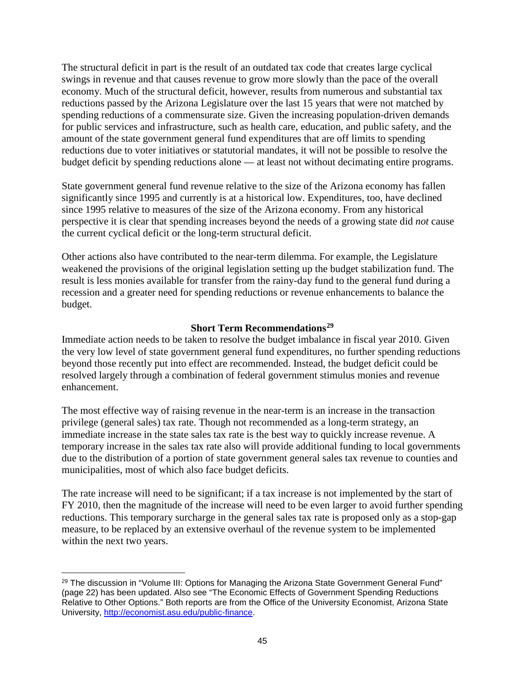The structural deficit in part is the result of an outdated tax code that creates large cyclical swings in revenue and that causes revenue to grow more slowly than the pace of the overall economy. Much of the structural deficit, however, results from numerous and substantial tax reductions passed by the Arizona Legislature over the last 15 years that were not matched by spending reductions of a commensurate size. Given the increasing population-driven demands for public services and infrastructure, such as health care, education, and public safety, and the amount of the state government general fund expenditures that are off limits to spending reductions due to voter initiatives or statutorial mandates, it will not be possible to resolve the budget deficit by spending reductions alone — at least not without decimating entire programs.

State government general fund revenue relative to the size of the Arizona economy has fallen significantly since 1995 and currently is at a historical low. Expenditures, too, have declined since 1995 relative to measures of the size of the Arizona economy. From any historical perspective it is clear that spending increases beyond the needs of a growing state did *not* cause the current cyclical deficit or the long-term structural deficit.

Other actions also have contributed to the near-term dilemma. For example, the Legislature weakened the provisions of the original legislation setting up the budget stabilization fund. The result is less monies available for transfer from the rainy-day fund to the general fund during a recession and a greater need for spending reductions or revenue enhancements to balance the budget.

# **Short Term Recommendations[29](#page-48-0)**

Immediate action needs to be taken to resolve the budget imbalance in fiscal year 2010. Given the very low level of state government general fund expenditures, no further spending reductions beyond those recently put into effect are recommended. Instead, the budget deficit could be resolved largely through a combination of federal government stimulus monies and revenue enhancement.

The most effective way of raising revenue in the near-term is an increase in the transaction privilege (general sales) tax rate. Though not recommended as a long-term strategy, an immediate increase in the state sales tax rate is the best way to quickly increase revenue. A temporary increase in the sales tax rate also will provide additional funding to local governments due to the distribution of a portion of state government general sales tax revenue to counties and municipalities, most of which also face budget deficits.

The rate increase will need to be significant; if a tax increase is not implemented by the start of FY 2010, then the magnitude of the increase will need to be even larger to avoid further spending reductions. This temporary surcharge in the general sales tax rate is proposed only as a stop-gap measure, to be replaced by an extensive overhaul of the revenue system to be implemented within the next two years.

<span id="page-48-0"></span><sup>&</sup>lt;sup>29</sup> The discussion in "Volume III: Options for Managing the Arizona State Government General Fund" (page 22) has been updated. Also see "The Economic Effects of Government Spending Reductions Relative to Other Options." Both reports are from the Office of the University Economist, Arizona State University, [http://economist.asu.edu/public-finance.](http://economist.asu.edu/public-finance)  $\overline{a}$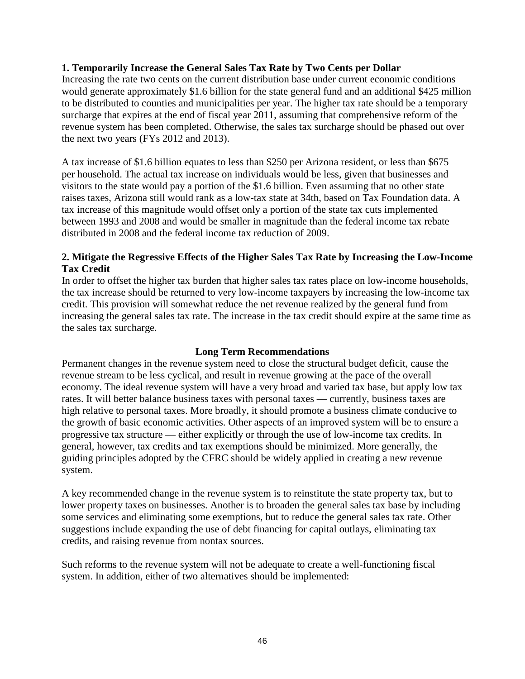# **1. Temporarily Increase the General Sales Tax Rate by Two Cents per Dollar**

Increasing the rate two cents on the current distribution base under current economic conditions would generate approximately \$1.6 billion for the state general fund and an additional \$425 million to be distributed to counties and municipalities per year. The higher tax rate should be a temporary surcharge that expires at the end of fiscal year 2011, assuming that comprehensive reform of the revenue system has been completed. Otherwise, the sales tax surcharge should be phased out over the next two years (FYs 2012 and 2013).

A tax increase of \$1.6 billion equates to less than \$250 per Arizona resident, or less than \$675 per household. The actual tax increase on individuals would be less, given that businesses and visitors to the state would pay a portion of the \$1.6 billion. Even assuming that no other state raises taxes, Arizona still would rank as a low-tax state at 34th, based on Tax Foundation data. A tax increase of this magnitude would offset only a portion of the state tax cuts implemented between 1993 and 2008 and would be smaller in magnitude than the federal income tax rebate distributed in 2008 and the federal income tax reduction of 2009.

# **2. Mitigate the Regressive Effects of the Higher Sales Tax Rate by Increasing the Low-Income Tax Credit**

In order to offset the higher tax burden that higher sales tax rates place on low-income households, the tax increase should be returned to very low-income taxpayers by increasing the low-income tax credit. This provision will somewhat reduce the net revenue realized by the general fund from increasing the general sales tax rate. The increase in the tax credit should expire at the same time as the sales tax surcharge.

# **Long Term Recommendations**

Permanent changes in the revenue system need to close the structural budget deficit, cause the revenue stream to be less cyclical, and result in revenue growing at the pace of the overall economy. The ideal revenue system will have a very broad and varied tax base, but apply low tax rates. It will better balance business taxes with personal taxes — currently, business taxes are high relative to personal taxes. More broadly, it should promote a business climate conducive to the growth of basic economic activities. Other aspects of an improved system will be to ensure a progressive tax structure — either explicitly or through the use of low-income tax credits. In general, however, tax credits and tax exemptions should be minimized. More generally, the guiding principles adopted by the CFRC should be widely applied in creating a new revenue system.

A key recommended change in the revenue system is to reinstitute the state property tax, but to lower property taxes on businesses. Another is to broaden the general sales tax base by including some services and eliminating some exemptions, but to reduce the general sales tax rate. Other suggestions include expanding the use of debt financing for capital outlays, eliminating tax credits, and raising revenue from nontax sources.

Such reforms to the revenue system will not be adequate to create a well-functioning fiscal system. In addition, either of two alternatives should be implemented: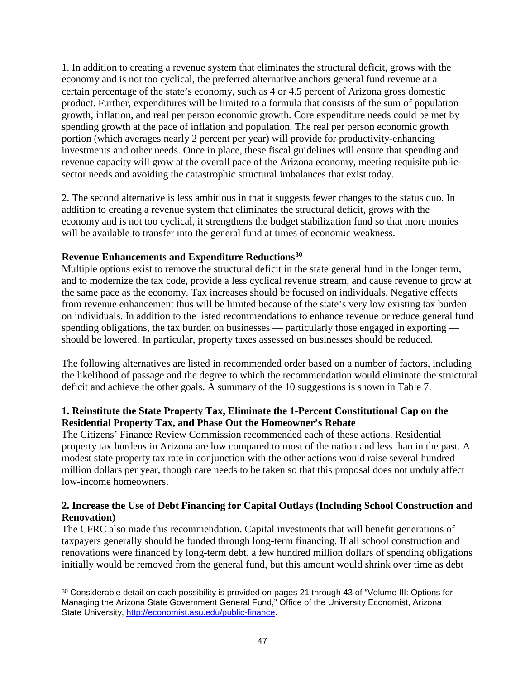1. In addition to creating a revenue system that eliminates the structural deficit, grows with the economy and is not too cyclical, the preferred alternative anchors general fund revenue at a certain percentage of the state's economy, such as 4 or 4.5 percent of Arizona gross domestic product. Further, expenditures will be limited to a formula that consists of the sum of population growth, inflation, and real per person economic growth. Core expenditure needs could be met by spending growth at the pace of inflation and population. The real per person economic growth portion (which averages nearly 2 percent per year) will provide for productivity-enhancing investments and other needs. Once in place, these fiscal guidelines will ensure that spending and revenue capacity will grow at the overall pace of the Arizona economy, meeting requisite publicsector needs and avoiding the catastrophic structural imbalances that exist today.

2. The second alternative is less ambitious in that it suggests fewer changes to the status quo. In addition to creating a revenue system that eliminates the structural deficit, grows with the economy and is not too cyclical, it strengthens the budget stabilization fund so that more monies will be available to transfer into the general fund at times of economic weakness.

# **Revenue Enhancements and Expenditure Reductions[30](#page-50-0)**

Multiple options exist to remove the structural deficit in the state general fund in the longer term, and to modernize the tax code, provide a less cyclical revenue stream, and cause revenue to grow at the same pace as the economy. Tax increases should be focused on individuals. Negative effects from revenue enhancement thus will be limited because of the state's very low existing tax burden on individuals. In addition to the listed recommendations to enhance revenue or reduce general fund spending obligations, the tax burden on businesses — particularly those engaged in exporting should be lowered. In particular, property taxes assessed on businesses should be reduced.

The following alternatives are listed in recommended order based on a number of factors, including the likelihood of passage and the degree to which the recommendation would eliminate the structural deficit and achieve the other goals. A summary of the 10 suggestions is shown in Table 7.

# **1. Reinstitute the State Property Tax, Eliminate the 1-Percent Constitutional Cap on the Residential Property Tax, and Phase Out the Homeowner's Rebate**

The Citizens' Finance Review Commission recommended each of these actions. Residential property tax burdens in Arizona are low compared to most of the nation and less than in the past. A modest state property tax rate in conjunction with the other actions would raise several hundred million dollars per year, though care needs to be taken so that this proposal does not unduly affect low-income homeowners.

# **2. Increase the Use of Debt Financing for Capital Outlays (Including School Construction and Renovation)**

The CFRC also made this recommendation. Capital investments that will benefit generations of taxpayers generally should be funded through long-term financing. If all school construction and renovations were financed by long-term debt, a few hundred million dollars of spending obligations initially would be removed from the general fund, but this amount would shrink over time as debt

<span id="page-50-0"></span><sup>30</sup> Considerable detail on each possibility is provided on pages 21 through 43 of "Volume III: Options for Managing the Arizona State Government General Fund," Office of the University Economist, Arizona State University, [http://economist.asu.edu/public-finance.](http://economist.asu.edu/public-finance)  $\overline{a}$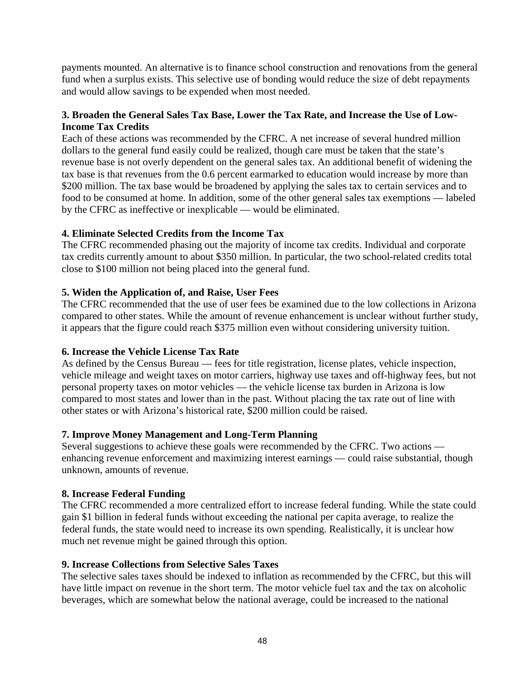payments mounted. An alternative is to finance school construction and renovations from the general fund when a surplus exists. This selective use of bonding would reduce the size of debt repayments and would allow savings to be expended when most needed.

# **3. Broaden the General Sales Tax Base, Lower the Tax Rate, and Increase the Use of Low-Income Tax Credits**

Each of these actions was recommended by the CFRC. A net increase of several hundred million dollars to the general fund easily could be realized, though care must be taken that the state's revenue base is not overly dependent on the general sales tax. An additional benefit of widening the tax base is that revenues from the 0.6 percent earmarked to education would increase by more than \$200 million. The tax base would be broadened by applying the sales tax to certain services and to food to be consumed at home. In addition, some of the other general sales tax exemptions — labeled by the CFRC as ineffective or inexplicable — would be eliminated.

# **4. Eliminate Selected Credits from the Income Tax**

The CFRC recommended phasing out the majority of income tax credits. Individual and corporate tax credits currently amount to about \$350 million. In particular, the two school-related credits total close to \$100 million not being placed into the general fund.

# **5. Widen the Application of, and Raise, User Fees**

The CFRC recommended that the use of user fees be examined due to the low collections in Arizona compared to other states. While the amount of revenue enhancement is unclear without further study, it appears that the figure could reach \$375 million even without considering university tuition.

# **6. Increase the Vehicle License Tax Rate**

As defined by the Census Bureau — fees for title registration, license plates, vehicle inspection, vehicle mileage and weight taxes on motor carriers, highway use taxes and off-highway fees, but not personal property taxes on motor vehicles — the vehicle license tax burden in Arizona is low compared to most states and lower than in the past. Without placing the tax rate out of line with other states or with Arizona's historical rate, \$200 million could be raised.

# **7. Improve Money Management and Long-Term Planning**

Several suggestions to achieve these goals were recommended by the CFRC. Two actions enhancing revenue enforcement and maximizing interest earnings — could raise substantial, though unknown, amounts of revenue.

# **8. Increase Federal Funding**

The CFRC recommended a more centralized effort to increase federal funding. While the state could gain \$1 billion in federal funds without exceeding the national per capita average, to realize the federal funds, the state would need to increase its own spending. Realistically, it is unclear how much net revenue might be gained through this option.

# **9. Increase Collections from Selective Sales Taxes**

The selective sales taxes should be indexed to inflation as recommended by the CFRC, but this will have little impact on revenue in the short term. The motor vehicle fuel tax and the tax on alcoholic beverages, which are somewhat below the national average, could be increased to the national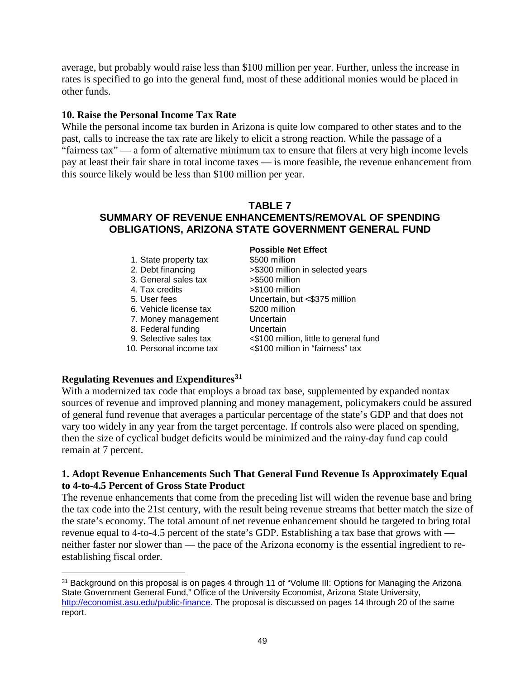average, but probably would raise less than \$100 million per year. Further, unless the increase in rates is specified to go into the general fund, most of these additional monies would be placed in other funds.

# **10. Raise the Personal Income Tax Rate**

While the personal income tax burden in Arizona is quite low compared to other states and to the past, calls to increase the tax rate are likely to elicit a strong reaction. While the passage of a "fairness tax" — a form of alternative minimum tax to ensure that filers at very high income levels pay at least their fair share in total income taxes — is more feasible, the revenue enhancement from this source likely would be less than \$100 million per year.

# **TABLE 7 SUMMARY OF REVENUE ENHANCEMENTS/REMOVAL OF SPENDING OBLIGATIONS, ARIZONA STATE GOVERNMENT GENERAL FUND**

| 1. State property tax<br>2. Debt financing<br>3. General sales tax<br>4. Tax credits<br>5. User fees<br>6. Vehicle license tax<br>7. Money management<br>8. Federal funding<br>9. Selective sales tax | <b>Possible Net Effect</b><br>\$500 million<br>>\$300 million in selected years<br>>\$500 million<br>>\$100 million<br>Uncertain, but <\$375 million<br>\$200 million<br>Uncertain<br>Uncertain<br><\$100 million, little to general fund |
|-------------------------------------------------------------------------------------------------------------------------------------------------------------------------------------------------------|-------------------------------------------------------------------------------------------------------------------------------------------------------------------------------------------------------------------------------------------|
| 10. Personal income tax                                                                                                                                                                               | <\$100 million in "fairness" tax                                                                                                                                                                                                          |

# **Regulating Revenues and Expenditures[31](#page-52-0)**

With a modernized tax code that employs a broad tax base, supplemented by expanded nontax sources of revenue and improved planning and money management, policymakers could be assured of general fund revenue that averages a particular percentage of the state's GDP and that does not vary too widely in any year from the target percentage. If controls also were placed on spending, then the size of cyclical budget deficits would be minimized and the rainy-day fund cap could remain at 7 percent.

# **1. Adopt Revenue Enhancements Such That General Fund Revenue Is Approximately Equal to 4-to-4.5 Percent of Gross State Product**

The revenue enhancements that come from the preceding list will widen the revenue base and bring the tax code into the 21st century, with the result being revenue streams that better match the size of the state's economy. The total amount of net revenue enhancement should be targeted to bring total revenue equal to 4-to-4.5 percent of the state's GDP. Establishing a tax base that grows with neither faster nor slower than — the pace of the Arizona economy is the essential ingredient to reestablishing fiscal order.

<span id="page-52-0"></span><sup>&</sup>lt;sup>31</sup> Background on this proposal is on pages 4 through 11 of "Volume III: Options for Managing the Arizona State Government General Fund," Office of the University Economist, Arizona State University, [http://economist.asu.edu/public-finance.](http://economist.asu.edu/public-finance) The proposal is discussed on pages 14 through 20 of the same report.  $\overline{a}$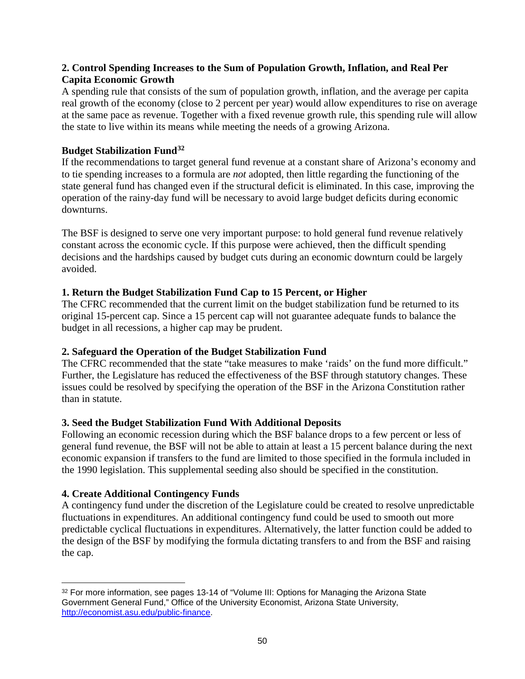# **2. Control Spending Increases to the Sum of Population Growth, Inflation, and Real Per Capita Economic Growth**

A spending rule that consists of the sum of population growth, inflation, and the average per capita real growth of the economy (close to 2 percent per year) would allow expenditures to rise on average at the same pace as revenue. Together with a fixed revenue growth rule, this spending rule will allow the state to live within its means while meeting the needs of a growing Arizona.

# **Budget Stabilization Fund[32](#page-53-0)**

If the recommendations to target general fund revenue at a constant share of Arizona's economy and to tie spending increases to a formula are *not* adopted, then little regarding the functioning of the state general fund has changed even if the structural deficit is eliminated. In this case, improving the operation of the rainy-day fund will be necessary to avoid large budget deficits during economic downturns.

The BSF is designed to serve one very important purpose: to hold general fund revenue relatively constant across the economic cycle. If this purpose were achieved, then the difficult spending decisions and the hardships caused by budget cuts during an economic downturn could be largely avoided.

# **1. Return the Budget Stabilization Fund Cap to 15 Percent, or Higher**

The CFRC recommended that the current limit on the budget stabilization fund be returned to its original 15-percent cap. Since a 15 percent cap will not guarantee adequate funds to balance the budget in all recessions, a higher cap may be prudent.

# **2. Safeguard the Operation of the Budget Stabilization Fund**

The CFRC recommended that the state "take measures to make 'raids' on the fund more difficult." Further, the Legislature has reduced the effectiveness of the BSF through statutory changes. These issues could be resolved by specifying the operation of the BSF in the Arizona Constitution rather than in statute.

# **3. Seed the Budget Stabilization Fund With Additional Deposits**

Following an economic recession during which the BSF balance drops to a few percent or less of general fund revenue, the BSF will not be able to attain at least a 15 percent balance during the next economic expansion if transfers to the fund are limited to those specified in the formula included in the 1990 legislation. This supplemental seeding also should be specified in the constitution.

# **4. Create Additional Contingency Funds**

A contingency fund under the discretion of the Legislature could be created to resolve unpredictable fluctuations in expenditures. An additional contingency fund could be used to smooth out more predictable cyclical fluctuations in expenditures. Alternatively, the latter function could be added to the design of the BSF by modifying the formula dictating transfers to and from the BSF and raising the cap.

<span id="page-53-0"></span><sup>&</sup>lt;sup>32</sup> For more information, see pages 13-14 of "Volume III: Options for Managing the Arizona State Government General Fund," Office of the University Economist, Arizona State University, [http://economist.asu.edu/public-finance.](http://economist.asu.edu/public-finance)  $\overline{a}$